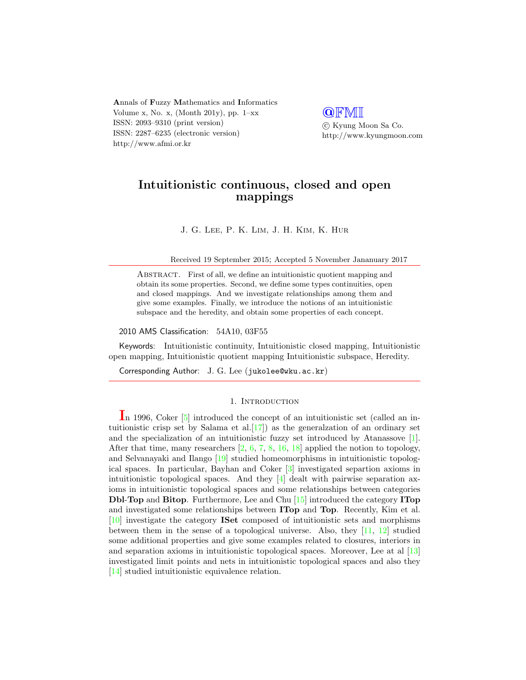Annals of Fuzzy Mathematics and Informatics Volume x, No. x, (Month 201y), pp.  $1-xx$ ISSN: 2093–9310 (print version) ISSN: 2287–6235 (electronic version) http://www.afmi.or.kr

**QFMI** 

 c Kyung Moon Sa Co. http://www.kyungmoon.com

# Intuitionistic continuous, closed and open mappings

J. G. Lee, P. K. Lim, J. H. Kim, K. Hur

Received 19 September 2015; Accepted 5 November Jananuary 2017

ABSTRACT. First of all, we define an intuitionistic quotient mapping and obtain its some properties. Second, we define some types continuities, open and closed mappings. And we investigate relationships among them and give some examples. Finally, we introduce the notions of an intuitionistic subspace and the heredity, and obtain some properties of each concept.

### 2010 AMS Classification: 54A10, 03F55

Keywords: Intuitionistic continuity, Intuitionistic closed mapping, Intuitionistic open mapping, Intuitionistic quotient mapping Intuitionistic subspace, Heredity.

Corresponding Author: J. G. Lee (jukolee@wku.ac.kr)

# 1. INTRODUCTION

In 1996, Coker [\[5\]](#page-19-0) introduced the concept of an intuitionistic set (called an intuitionistic crisp set by Salama et al.  $[17]$  as the generalzation of an ordinary set and the specialization of an intuitionistic fuzzy set introduced by Atanassove [\[1\]](#page-19-1). After that time, many researchers  $\left[2, 6, 7, 8, 16, 18\right]$  $\left[2, 6, 7, 8, 16, 18\right]$  $\left[2, 6, 7, 8, 16, 18\right]$  $\left[2, 6, 7, 8, 16, 18\right]$  $\left[2, 6, 7, 8, 16, 18\right]$  $\left[2, 6, 7, 8, 16, 18\right]$  $\left[2, 6, 7, 8, 16, 18\right]$  $\left[2, 6, 7, 8, 16, 18\right]$  $\left[2, 6, 7, 8, 16, 18\right]$  $\left[2, 6, 7, 8, 16, 18\right]$  $\left[2, 6, 7, 8, 16, 18\right]$  applied the notion to topology, and Selvanayaki and Ilango [\[19\]](#page-20-3) studied homeomorphisms in intuitionistic topological spaces. In particular, Bayhan and Coker [\[3\]](#page-19-6) investigated separtion axioms in intuitionistic topological spaces. And they [\[4\]](#page-19-7) dealt with pairwise separation axioms in intuitionistic topological spaces and some relationships between categories Dbl-Top and Bitop. Furthermore, Lee and Chu [\[15\]](#page-20-4) introduced the category ITop and investigated some relationships between ITop and Top. Recently, Kim et al. [\[10\]](#page-19-8) investigate the category ISet composed of intuitionistic sets and morphisms between them in the sense of a topological universe. Also, they [\[11,](#page-19-9) [12\]](#page-20-5) studied some additional properties and give some examples related to closures, interiors in and separation axioms in intuitionistic topological spaces. Moreover, Lee at al [\[13\]](#page-20-6) investigated limit points and nets in intuitionistic topological spaces and also they [\[14\]](#page-20-7) studied intuitionistic equivalence relation.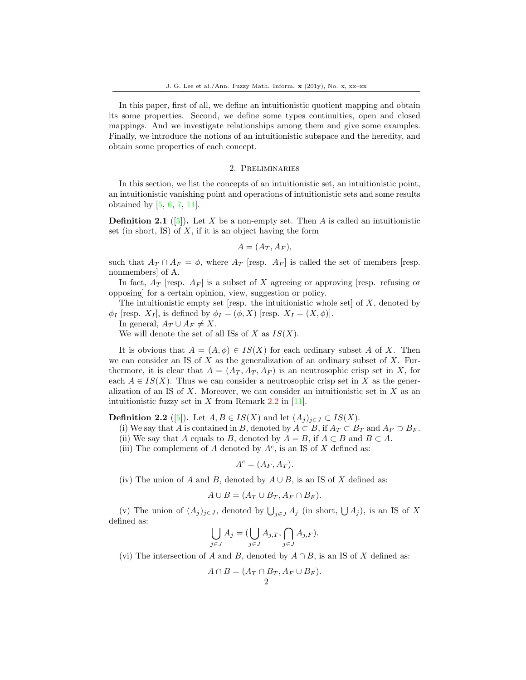In this paper, first of all, we define an intuitionistic quotient mapping and obtain its some properties. Second, we define some types continuities, open and closed mappings. And we investigate relationships among them and give some examples. Finally, we introduce the notions of an intuitionistic subspace and the heredity, and obtain some properties of each concept.

### 2. Preliminaries

In this section, we list the concepts of an intuitionistic set, an intuitionistic point, an intuitionistic vanishing point and operations of intuitionistic sets and some results obtained by  $[5, 6, 7, 11]$  $[5, 6, 7, 11]$  $[5, 6, 7, 11]$  $[5, 6, 7, 11]$  $[5, 6, 7, 11]$  $[5, 6, 7, 11]$  $[5, 6, 7, 11]$ .

**Definition 2.1** ([\[5\]](#page-19-0)). Let X be a non-empty set. Then A is called an intuitionistic set (in short, IS) of  $X$ , if it is an object having the form

$$
A=(A_T,A_F),
$$

such that  $A_T \cap A_F = \phi$ , where  $A_T$  [resp.  $A_F$ ] is called the set of members [resp. nonmembers] of A.

In fact,  $A_T$  [resp.  $A_F$ ] is a subset of X agreeing or approving [resp. refusing or opposing] for a certain opinion, view, suggestion or policy.

The intuitionistic empty set [resp. the intuitionistic whole set] of  $X$ , denoted by  $\phi_I$  [resp.  $X_I$ ], is defined by  $\phi_I = (\phi, X)$  [resp.  $X_I = (X, \phi)$ ].

In general,  $A_T \cup A_F \neq X$ .

We will denote the set of all ISs of X as  $IS(X)$ .

It is obvious that  $A = (A, \phi) \in IS(X)$  for each ordinary subset A of X. Then we can consider an IS of  $X$  as the generalization of an ordinary subset of  $X$ . Furthermore, it is clear that  $A = (A_T, A_T, A_F)$  is an neutrosophic crisp set in X, for each  $A \in IS(X)$ . Thus we can consider a neutrosophic crisp set in X as the generalization of an IS of  $X$ . Moreover, we can consider an intuitionistic set in  $X$  as an intuitionistic fuzzy set in  $X$  from Remark 2.2 in [\[11\]](#page-19-9).

**Definition 2.2** ([\[5\]](#page-19-0)). Let  $A, B \in IS(X)$  and let  $(A_i)_{i \in J} \subset IS(X)$ .

(i) We say that A is contained in B, denoted by  $A \subset B$ , if  $A_T \subset B_T$  and  $A_F \supset B_F$ .

- (ii) We say that A equals to B, denoted by  $A = B$ , if  $A \subset B$  and  $B \subset A$ .
- (iii) The complement of A denoted by  $A^c$ , is an IS of X defined as:

$$
A^c = (A_F, A_T).
$$

(iv) The union of A and B, denoted by  $A \cup B$ , is an IS of X defined as:

$$
A \cup B = (A_T \cup B_T, A_F \cap B_F).
$$

(v) The union of  $(A_j)_{j\in J}$ , denoted by  $\bigcup_{j\in J} A_j$  (in short,  $\bigcup A_j$ ), is an IS of X defined as:

$$
\bigcup_{j \in J} A_j = (\bigcup_{j \in J} A_{j,T}, \bigcap_{j \in J} A_{j,F}).
$$

(vi) The intersection of A and B, denoted by  $A \cap B$ , is an IS of X defined as:

$$
A \cap B = (A_T \cap B_T, A_F \cup B_F).
$$
  
2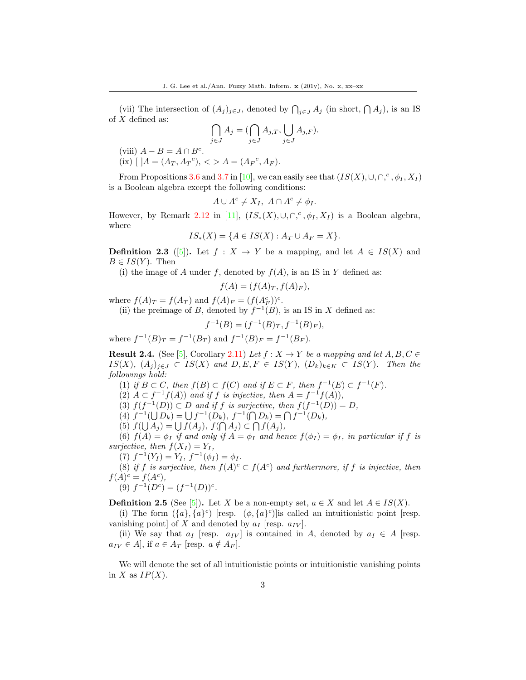(vii) The intersection of  $(A_j)_{j\in J}$ , denoted by  $\bigcap_{j\in J} A_j$  (in short,  $\bigcap A_j$ ), is an IS of  $X$  defined as:

$$
\bigcap_{j\in J} A_j = (\bigcap_{j\in J} A_{j,T}, \bigcup_{j\in J} A_{j,F}).
$$

(viii)  $A - B = A \cap B^c$ .  $(ix)$  [ ] $A = (A_T, A_T^c),$  < >  $A = (A_F^c, A_F).$ 

From Propositions 3.6 and 3.7 in [\[10\]](#page-19-8), we can easily see that  $(IS(X), \cup, \cap,^c, \phi_I, X_I)$ is a Boolean algebra except the following conditions:

$$
A \cup A^c \neq X_I, \ A \cap A^c \neq \phi_I.
$$

However, by Remark 2.12 in [\[11\]](#page-19-9),  $(IS_*(X), \cup, \cap,^c, \phi_I, X_I)$  is a Boolean algebra, where

$$
IS_*(X) = \{ A \in IS(X) : A_T \cup A_F = X \}.
$$

**Definition 2.3** ([\[5\]](#page-19-0)). Let  $f : X \to Y$  be a mapping, and let  $A \in IS(X)$  and  $B \in IS(Y)$ . Then

(i) the image of A under f, denoted by  $f(A)$ , is an IS in Y defined as:

$$
f(A) = (f(A)_T, f(A)_F),
$$

where  $f(A)_T = f(A_T)$  and  $f(A)_F = (f(A_F^c))^c$ .

(ii) the preimage of B, denoted by  $f^{-1}(B)$ , is an IS in X defined as:

$$
f^{-1}(B) = (f^{-1}(B)_T, f^{-1}(B)_F),
$$

where  $f^{-1}(B)_T = f^{-1}(B_T)$  and  $f^{-1}(B)_F = f^{-1}(B_F)$ .

**Result 2.4.** (See [\[5\]](#page-19-0), Corollary 2.11) Let  $f : X \to Y$  be a mapping and let  $A, B, C \in$ IS(X),  $(A_j)_{j\in J}$  ⊂ IS(X) and D, E, F ∈ IS(Y),  $(D_k)_{k\in K}$  ⊂ IS(Y). Then the followings hold:

- (1) if  $B \subset C$ , then  $f(B) \subset f(C)$  and if  $E \subset F$ , then  $f^{-1}(E) \subset f^{-1}(F)$ .
- (2)  $A \subset f^{-1}f(A)$  and if f is injective, then  $A = f^{-1}f(A)$ ,

(3)  $f(f^{-1}(D)) \subset D$  and if f is surjective, then  $f(f^{-1}(D)) = D$ ,

(4)  $f^{-1}(\bigcup D_k) = \bigcup f^{-1}(D_k), f^{-1}(\bigcap D_k) = \bigcap f^{-1}(D_k),$ 

(5)  $f(\bigcup A_j) = \bigcup f(A_j)$ ,  $f(\bigcap A_j) \subset \bigcap f(A_j)$ ,

(6)  $f(A) = \phi_I$  if and only if  $A = \phi_I$  and hence  $f(\phi_I) = \phi_I$ , in particular if f is surjective, then  $f(X_I) = Y_I$ ,

(7)  $f^{-1}(Y_I) = Y_I, f^{-1}(\phi_I) = \phi_I.$ 

(8) if f is surjective, then  $f(A)^c \subset f(A^c)$  and furthermore, if f is injective, then  $f(A)^c = f(A^c),$ 

$$
(9) f^{-1}(D^c) = (f^{-1}(D))^c.
$$

**Definition 2.5** (See [\[5\]](#page-19-0)). Let X be a non-empty set,  $a \in X$  and let  $A \in IS(X)$ .

(i) The form  $({a}, {a}^c)$  [resp.  $(\phi, {a}^c)$ ] is called an intuitionistic point [resp. vanishing point] of X and denoted by  $a_I$  [resp.  $a_{IV}$ ].

(ii) We say that  $a_I$  [resp.  $a_{IV}$ ] is contained in A, denoted by  $a_I \in A$  [resp.  $a_{IV} \in A$ , if  $a \in A_T$  [resp.  $a \notin A_F$ ].

We will denote the set of all intuitionistic points or intuitionistic vanishing points in X as  $IP(X)$ .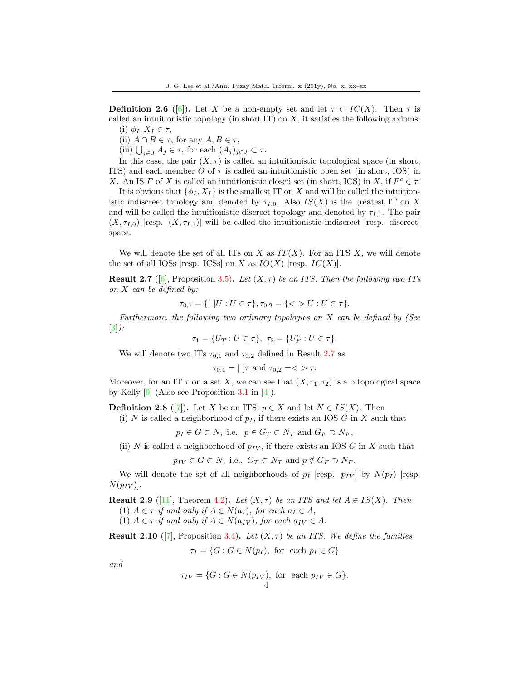**Definition 2.6** ([\[6\]](#page-19-3)). Let X be a non-empty set and let  $\tau \subset IC(X)$ . Then  $\tau$  is called an intuitionistic topology (in short IT) on  $X$ , it satisfies the following axioms:

- (i)  $\phi_I, X_I \in \tau$ ,
- (ii)  $A \cap B \in \tau$ , for any  $A, B \in \tau$ ,

(iii)  $\bigcup_{j\in J} A_j \in \tau$ , for each  $(A_j)_{j\in J} \subset \tau$ .

In this case, the pair  $(X, \tau)$  is called an intuitionistic topological space (in short, ITS) and each member O of  $\tau$  is called an intuitionistic open set (in short, IOS) in X. An IS F of X is called an intuitionistic closed set (in short, ICS) in X, if  $F^c \in \tau$ .

It is obvious that  $\{\phi_I, X_I\}$  is the smallest IT on X and will be called the intuitionistic indiscreet topology and denoted by  $\tau_{I,0}$ . Also  $IS(X)$  is the greatest IT on X and will be called the intuitionistic discreet topology and denoted by  $\tau_{1,1}$ . The pair  $(X, \tau_{I,0})$  [resp.  $(X, \tau_{I,1})$ ] will be called the intuitionistic indiscreet [resp. discreet] space.

We will denote the set of all ITs on X as  $IT(X)$ . For an ITS X, we will denote the set of all IOSs [resp. ICSs] on X as  $IO(X)$  [resp.  $IC(X)$ ].

**Result 2.7** ([\[6\]](#page-19-3), Proposition 3.5). Let  $(X, \tau)$  be an ITS. Then the following two ITs on X can be defined by:

 $\tau_{0,1} = \{ [ |U : U \in \tau \}, \tau_{0,2} = \{ \langle \rangle U : U \in \tau \}.$ 

Furthermore, the following two ordinary topologies on  $X$  can be defined by (See  $[3]$ :

$$
\tau_1 = \{U_T : U \in \tau\}, \ \tau_2 = \{U_F^c : U \in \tau\}.
$$

We will denote two ITs  $\tau_{0,1}$  and  $\tau_{0,2}$  defined in Result 2.7 as

$$
\tau_{0,1} = [\ ]\tau \text{ and } \tau_{0,2} = \langle \rangle \tau.
$$

Moreover, for an IT  $\tau$  on a set X, we can see that  $(X, \tau_1, \tau_2)$  is a bitopological space by Kelly  $[9]$  (Also see Proposition 3.1 in [\[4\]](#page-19-7)).

**Definition 2.8** ([\[7\]](#page-19-4)). Let X be an ITS,  $p \in X$  and let  $N \in IS(X)$ . Then

(i) N is called a neighborhood of  $p_I$ , if there exists an IOS G in X such that

 $p_I \in G \subset N$ , i.e.,  $p \in G_T \subset N_T$  and  $G_F \supset N_F$ ,

(ii) N is called a neighborhood of  $p_{IV}$ , if there exists an IOS G in X such that

 $p_{IV} \in G \subset N$ , i.e.,  $G_T \subset N_T$  and  $p \notin G_F \supset N_F$ .

We will denote the set of all neighborhoods of  $p_I$  [resp.  $p_{IV}$ ] by  $N(p_I)$  [resp.  $N(p_{IV})$ .

**Result 2.9** ([\[11\]](#page-19-9), Theorem 4.2). Let  $(X, \tau)$  be an ITS and let  $A \in IS(X)$ . Then

(1)  $A \in \tau$  if and only if  $A \in N(a_I)$ , for each  $a_I \in A$ , (1)  $A \in \tau$  if and only if  $A \in N(a_{IV})$ , for each  $a_{IV} \in A$ .

**Result 2.10** ([\[7\]](#page-19-4), Proposition 3.4). Let  $(X, \tau)$  be an ITS. We define the families

 $\tau_I = \{G : G \in N(p_I)\}$ , for each  $p_I \in G\}$ 

and

$$
\tau_{IV} = \{G : G \in N(p_{IV}), \text{ for each } p_{IV} \in G\}.
$$
  
4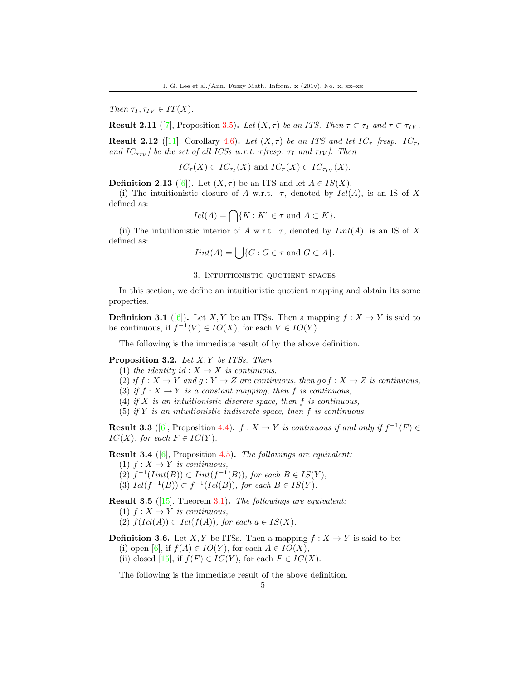Then  $\tau_I, \tau_{IV} \in IT(X)$ .

**Result 2.11** ([\[7\]](#page-19-4), Proposition 3.5). Let  $(X, \tau)$  be an ITS. Then  $\tau \subset \tau_I$  and  $\tau \subset \tau_{IV}$ .

**Result 2.12** ([\[11\]](#page-19-9), Corollary 4.6). Let  $(X, \tau)$  be an ITS and let  $IC_{\tau}$  [resp.  $IC_{\tau}$ ] and  $IC_{\tau_{IV}}$  be the set of all ICSs w.r.t.  $\tau$  [resp.  $\tau_I$  and  $\tau_{IV}$ ]. Then

$$
IC_{\tau}(X) \subset IC_{\tau_I}(X)
$$
 and  $IC_{\tau}(X) \subset IC_{\tau_{IV}}(X)$ .

**Definition 2.13** ([\[6\]](#page-19-3)). Let  $(X, \tau)$  be an ITS and let  $A \in IS(X)$ .

(i) The intuitionistic closure of A w.r.t.  $\tau$ , denoted by  $Id(A)$ , is an IS of X defined as:

$$
Icl(A) = \bigcap \{ K : K^c \in \tau \text{ and } A \subset K \}.
$$

(ii) The intuitionistic interior of A w.r.t.  $\tau$ , denoted by  $Init(A)$ , is an IS of X defined as:

$$
Init(A) = \bigcup \{ G : G \in \tau \text{ and } G \subset A \}.
$$

### 3. Intuitionistic quotient spaces

In this section, we define an intuitionistic quotient mapping and obtain its some properties.

**Definition 3.1** ([\[6\]](#page-19-3)). Let X, Y be an ITSs. Then a mapping  $f: X \to Y$  is said to be continuous, if  $f^{-1}(V) \in IO(X)$ , for each  $V \in IO(Y)$ .

The following is the immediate result of by the above definition.

### **Proposition 3.2.** Let  $X, Y$  be ITSs. Then

- (1) the identity id :  $X \to X$  is continuous,
- (2) if  $f: X \to Y$  and  $g: Y \to Z$  are continuous, then  $g \circ f: X \to Z$  is continuous,
- (3) if  $f: X \to Y$  is a constant mapping, then f is continuous,
- (4) if  $X$  is an intuitionistic discrete space, then  $f$  is continuous,
- (5) if  $Y$  is an intuitionistic indiscrete space, then  $f$  is continuous.

**Result 3.3** ([\[6\]](#page-19-3), Proposition 4.4).  $f: X \to Y$  is continuous if and only if  $f^{-1}(F) \in$  $IC(X)$ , for each  $F \in IC(Y)$ .

Result 3.4 ([\[6\]](#page-19-3), Proposition 4.5). The followings are equivalent:

- (1)  $f: X \to Y$  is continuous,
- (2)  $f^{-1}(Init(B)) \subset Int(f^{-1}(B))$ , for each  $B \in IS(Y)$ ,
- (3)  $Icl(f^{-1}(B)) \subset f^{-1}(Icl(B)),$  for each  $B \in IS(Y)$ .
- **Result 3.5** ( $\overline{15}$ ), Theorem 3.1). The followings are equivalent:
	- (1)  $f: X \to Y$  is continuous,
	- (2)  $f(Id(A)) \subset Id(f(A)),$  for each  $a \in IS(X)$ .
- **Definition 3.6.** Let X, Y be ITSs. Then a mapping  $f : X \to Y$  is said to be: (i) open [\[6\]](#page-19-3), if  $f(A) \in IO(Y)$ , for each  $A \in IO(X)$ ,
	- (ii) closed [\[15\]](#page-20-4), if  $f(F) \in IC(Y)$ , for each  $F \in IC(X)$ .

The following is the immediate result of the above definition.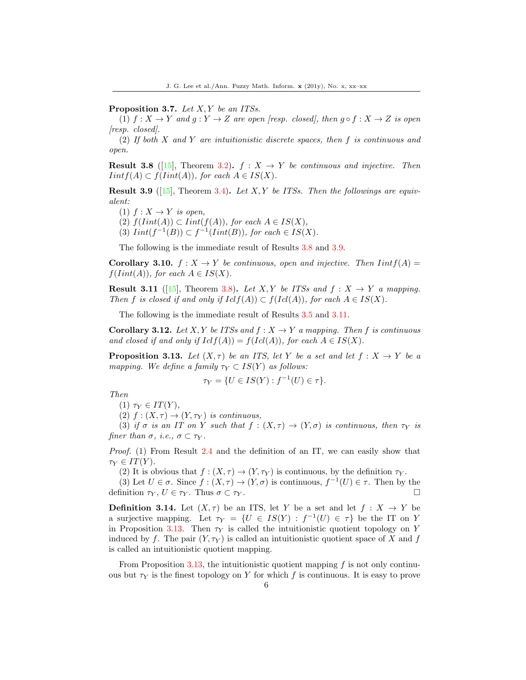Proposition 3.7. Let  $X, Y$  be an ITSs.

(1) f :  $X \to Y$  and  $q: Y \to Z$  are open [resp. closed], then  $q \circ f: X \to Z$  is open [resp. closed].

(2) If both X and Y are intuitionistic discrete spaces, then f is continuous and open.

**Result 3.8** ([\[15\]](#page-20-4), Theorem 3.2).  $f: X \rightarrow Y$  be continuous and injective. Then  $Iintf(A) \subset f(Init(A)),$  for each  $A \in IS(X)$ .

**Result 3.9** ([\[15\]](#page-20-4), Theorem 3.4). Let X, Y be ITSs. Then the followings are equivalent:

- (1)  $f: X \rightarrow Y$  is open,
- (2)  $f(Init(A)) \subset Int(f(A)),$  for each  $A \in IS(X),$
- (3)  $Init(f^{-1}(B)) \subset f^{-1}(Init(B)),$  for each  $\in IS(X)$ .

The following is the immediate result of Results 3.8 and 3.9.

**Corollary 3.10.**  $f: X \to Y$  be continuous, open and injective. Then  $Initf(A) =$  $f(Init(A)),$  for each  $A \in IS(X)$ .

**Result 3.11** ([\[15\]](#page-20-4), Theorem 3.8). Let X, Y be ITSs and  $f: X \rightarrow Y$  a mapping. Then f is closed if and only if  $Iclf(A)) \subset f(Icl(A)),$  for each  $A \in IS(X)$ .

The following is the immediate result of Results 3.5 and 3.11.

**Corollary 3.12.** Let X, Y be ITSs and  $f : X \to Y$  a mapping. Then f is continuous and closed if and only if  $Iclf(A)) = f(Icl(A))$ , for each  $A \in IS(X)$ .

**Proposition 3.13.** Let  $(X, \tau)$  be an ITS, let Y be a set and let  $f : X \to Y$  be a mapping. We define a family  $\tau_Y \subset IS(Y)$  as follows:

$$
\tau_Y = \{ U \in IS(Y) : f^{-1}(U) \in \tau \}.
$$

Then

$$
(1) \tau_Y \in IT(Y),
$$

(2)  $f: (X, \tau) \to (Y, \tau_Y)$  is continuous,

(3) if  $\sigma$  is an IT on Y such that  $f : (X, \tau) \to (Y, \sigma)$  is continuous, then  $\tau_Y$  is finer than  $\sigma$ , *i.e.*,  $\sigma \subset \tau_Y$ .

Proof. (1) From Result 2.4 and the definition of an IT, we can easily show that  $\tau_Y \in IT(Y)$ .

(2) It is obvious that  $f : (X, \tau) \to (Y, \tau_Y)$  is continuous, by the definition  $\tau_Y$ .

(3) Let  $U \in \sigma$ . Since  $f : (X, \tau) \to (Y, \sigma)$  is continuous,  $f^{-1}(U) \in \tau$ . Then by the definition  $\tau_Y, U \in \tau_Y$ . Thus  $\sigma \subset \tau_Y$ .

**Definition 3.14.** Let  $(X, \tau)$  be an ITS, let Y be a set and let  $f : X \to Y$  be a surjective mapping. Let  $\tau_Y = \{U \in IS(Y) : f^{-1}(U) \in \tau\}$  be the IT on Y in Proposition 3.13. Then  $\tau_Y$  is called the intuitionistic quotient topology on Y induced by f. The pair  $(Y, \tau_Y)$  is called an intuitionistic quotient space of X and f is called an intuitionistic quotient mapping.

From Proposition 3.13, the intuitionistic quotient mapping  $f$  is not only continuous but  $\tau_Y$  is the finest topology on Y for which f is continuous. It is easy to prove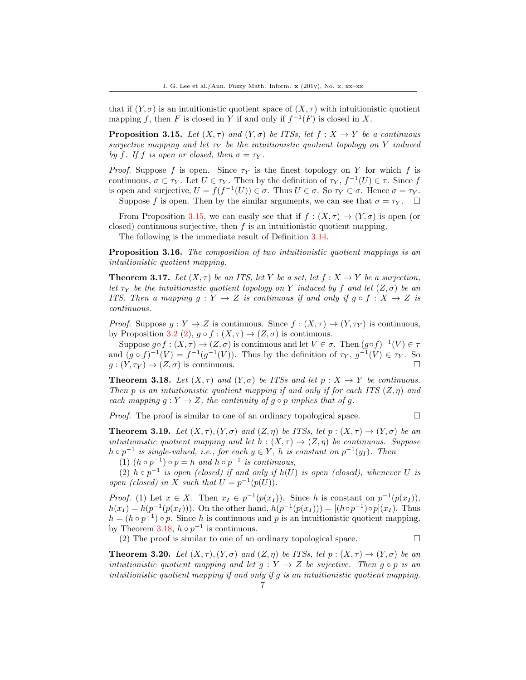that if  $(Y, \sigma)$  is an intuitionistic quotient space of  $(X, \tau)$  with intuitionistic quotient mapping f, then F is closed in Y if and only if  $f^{-1}(F)$  is closed in X.

**Proposition 3.15.** Let  $(X, \tau)$  and  $(Y, \sigma)$  be ITSs, let  $f : X \to Y$  be a continuous surjective mapping and let  $\tau_Y$  be the intuitionistic quotient topology on Y induced by f. If f is open or closed, then  $\sigma = \tau_Y$ .

*Proof.* Suppose f is open. Since  $\tau_Y$  is the finest topology on Y for which f is continuous,  $\sigma \subset \tau_Y$ . Let  $U \in \tau_Y$ . Then by the definition of  $\tau_Y$ ,  $f^{-1}(U) \in \tau$ . Since f is open and surjective,  $U = f(f^{-1}(U)) \in \sigma$ . Thus  $U \in \sigma$ . So  $\tau_Y \subset \sigma$ . Hence  $\sigma = \tau_Y$ . Suppose f is open. Then by the similar arguments, we can see that  $\sigma = \tau_Y$ .

From Proposition 3.15, we can easily see that if  $f : (X, \tau) \to (Y, \sigma)$  is open (or closed) continuous surjective, then  $f$  is an intuitionistic quotient mapping.

The following is the immediate result of Definition 3.14.

Proposition 3.16. The composition of two intuitionistic quotient mappings is an intuitionistic quotient mapping.

**Theorem 3.17.** Let  $(X, \tau)$  be an ITS, let Y be a set, let  $f : X \to Y$  be a surjection, let  $\tau_Y$  be the intuitionistic quotient topology on Y induced by f and let  $(Z, \sigma)$  be an ITS. Then a mapping  $g: Y \to Z$  is continuous if and only if  $g \circ f: X \to Z$  is continuous.

*Proof.* Suppose  $q: Y \to Z$  is continuous. Since  $f: (X, \tau) \to (Y, \tau_Y)$  is continuous, by Proposition 3.2 (2),  $g \circ f : (X, \tau) \to (Z, \sigma)$  is continuous.

Suppose  $g \circ f : (X, \tau) \to (Z, \sigma)$  is continuous and let  $V \in \sigma$ . Then  $(g \circ f)^{-1}(V) \in \tau$ and  $(g \circ f)^{-1}(V) = f^{-1}(g^{-1}(V))$ . Thus by the definition of  $\tau_Y$ ,  $g^{-1}(V) \in \tau_Y$ . So  $g: (Y, \tau_Y) \to (Z, \sigma)$  is continuous.

**Theorem 3.18.** Let  $(X, \tau)$  and  $(Y, \sigma)$  be ITSs and let  $p : X \to Y$  be continuous. Then p is an intuitionistic quotient mapping if and only if for each ITS  $(Z, \eta)$  and each mapping  $g: Y \to Z$ , the continuity of  $g \circ p$  implies that of g.

*Proof.* The proof is similar to one of an ordinary topological space.  $\Box$ 

**Theorem 3.19.** Let  $(X, \tau)$ ,  $(Y, \sigma)$  and  $(Z, \eta)$  be ITSs, let  $p : (X, \tau) \to (Y, \sigma)$  be an intuitionistic quotient mapping and let  $h : (X, \tau) \to (Z, \eta)$  be continuous. Suppose  $h \circ p^{-1}$  is single-valued, i.e., for each  $y \in Y$ , h is constant on  $p^{-1}(y_I)$ . Then

(1)  $(h \circ p^{-1}) \circ p = h$  and  $h \circ p^{-1}$  is continuous,

(2)  $h \circ p^{-1}$  is open (closed) if and only if  $h(U)$  is open (closed), whenever U is open (closed) in X such that  $U = p^{-1}(p(U))$ .

*Proof.* (1) Let  $x \in X$ . Then  $x_I \in p^{-1}(p(x_I))$ . Since h is constant on  $p^{-1}(p(x_I))$ ,  $h(x_I) = h(p^{-1}(p(x_I)))$ . On the other hand,  $h(p^{-1}(p(x_I))) = [(h \circ p^{-1}) \circ p](x_I)$ . Thus  $h = (h \circ p^{-1}) \circ p$ . Since h is continuous and p is an intuitionistic quotient mapping, by Theorem 3.18,  $h \circ p^{-1}$  is continuous.

(2) The proof is similar to one of an ordinary topological space.  $\Box$ 

**Theorem 3.20.** Let  $(X, \tau)$ ,  $(Y, \sigma)$  and  $(Z, \eta)$  be ITSs, let  $p : (X, \tau) \to (Y, \sigma)$  be an intuitionistic quotient mapping and let  $g: Y \to Z$  be sujective. Then  $g \circ p$  is an intuitionistic quotient mapping if and only if g is an intuitionistic quotient mapping.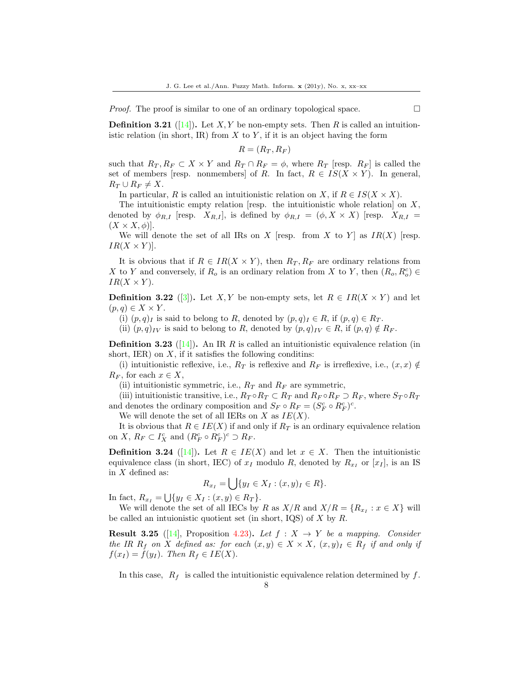*Proof.* The proof is similar to one of an ordinary topological space.  $\Box$ 

**Definition 3.21** ([\[14\]](#page-20-7)). Let X, Y be non-empty sets. Then R is called an intuitionistic relation (in short, IR) from  $X$  to  $Y$ , if it is an object having the form

$$
R = (R_T, R_F)
$$

such that  $R_T, R_F \subset X \times Y$  and  $R_T \cap R_F = \phi$ , where  $R_T$  [resp.  $R_F$ ] is called the set of members [resp. nonmembers] of R. In fact,  $R \in IS(X \times Y)$ . In general,  $R_T \cup R_F \neq X$ .

In particular, R is called an intuitionistic relation on X, if  $R \in IS(X \times X)$ .

The intuitionistic empty relation [resp. the intuitionistic whole relation] on  $X$ , denoted by  $\phi_{R,I}$  [resp.  $X_{R,I}$ ], is defined by  $\phi_{R,I} = (\phi, X \times X)$  [resp.  $X_{R,I} =$  $(X \times X, \phi)$ ].

We will denote the set of all IRs on X [resp. from X to Y] as  $IR(X)$  [resp.  $IR(X \times Y)$ .

It is obvious that if  $R \in IR(X \times Y)$ , then  $R_T, R_F$  are ordinary relations from X to Y and conversely, if  $R_o$  is an ordinary relation from X to Y, then  $(R_o, R_o^c) \in$  $IR(X \times Y)$ .

**Definition 3.22** ([\[3\]](#page-19-6)). Let X, Y be non-empty sets, let  $R \in IR(X \times Y)$  and let  $(p, q) \in X \times Y$ .

(i)  $(p, q)$ <sub>I</sub> is said to belong to R, denoted by  $(p, q)$ <sub>I</sub>  $\in$  R, if  $(p, q)$   $\in$  R<sub>T</sub>.

(ii)  $(p, q)_{IV}$  is said to belong to R, denoted by  $(p, q)_{IV} \in R$ , if  $(p, q) \notin R_F$ .

**Definition 3.23** ([\[14\]](#page-20-7)). An IR R is called an intuitionistic equivalence relation (in short, IER) on  $X$ , if it satisfies the following conditins:

(i) intuitionistic reflexive, i.e.,  $R_T$  is reflexive and  $R_F$  is irreflexive, i.e.,  $(x, x) \notin$  $R_F$ , for each  $x \in X$ ,

(ii) intuitionistic symmetric, i.e.,  $R_T$  and  $R_F$  are symmetric,

(iii) intuitionistic transitive, i.e.,  $R_T \circ R_T \subset R_T$  and  $R_F \circ R_F \supset R_F$ , where  $S_T \circ R_T$ and denotes the ordinary composition and  $S_F \circ R_F = (S_F^c \circ R_F^c)^c$ .

We will denote the set of all IERs on  $X$  as  $IE(X)$ .

It is obvious that  $R \in IE(X)$  if and only if  $R_T$  is an ordinary equivalence relation on X,  $R_F \subset I_X^c$  and  $(R_F^c \circ R_F^c)^c \supset R_F$ .

**Definition 3.24** ([\[14\]](#page-20-7)). Let  $R \in IE(X)$  and let  $x \in X$ . Then the intuitionistic equivalence class (in short, IEC) of  $x_I$  modulo R, denoted by  $R_{x_I}$  or  $[x_I]$ , is an IS in  $X$  defined as:

$$
R_{x_I} = \bigcup \{ y_I \in X_I : (x, y)_I \in R \}.
$$

In fact,  $R_{x_I} = \bigcup \{ y_I \in X_I : (x, y) \in R_T \}.$ 

We will denote the set of all IECs by R as  $X/R$  and  $X/R = \{R_{x_I} : x \in X\}$  will be called an intuionistic quotient set (in short, IQS) of  $X$  by  $R$ .

**Result 3.25** ([\[14\]](#page-20-7), Proposition 4.23). Let  $f : X \rightarrow Y$  be a mapping. Consider the IR  $R_f$  on X defined as: for each  $(x, y) \in X \times X$ ,  $(x, y)_I \in R_f$  if and only if  $f(x_I) = f(y_I)$ . Then  $R_f \in IE(X)$ .

In this case,  $R_f$  is called the intuitionistic equivalence relation determined by f.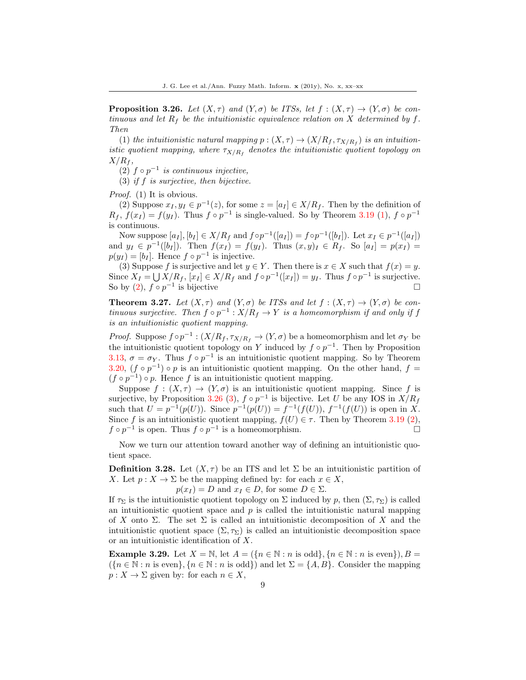**Proposition 3.26.** Let  $(X, \tau)$  and  $(Y, \sigma)$  be ITSs, let  $f : (X, \tau) \to (Y, \sigma)$  be continuous and let  $R_f$  be the intuitionistic equivalence relation on X determined by f. Then

(1) the intuitionistic natural mapping  $p:(X,\tau) \to (X/R_f, \tau_{X/R_f})$  is an intuitionistic quotient mapping, where  $\tau_{X/R_f}$  denotes the intuitionistic quotient topology on  $X/R_f$ ,

(2)  $f \circ p^{-1}$  is continuous injective,

(3) if f is surjective, then bijective.

Proof. (1) It is obvious.

(2) Suppose  $x_I, y_I \in p^{-1}(z)$ , for some  $z = [a_I] \in X/R_f$ . Then by the definition of  $R_f$ ,  $f(x_I) = f(y_I)$ . Thus  $f \circ p^{-1}$  is single-valued. So by Theorem 3.19 (1),  $f \circ p^{-1}$ is continuous.

Now suppose  $[a_I], [b_I] \in X/R_f$  and  $f \circ p^{-1}([a_I]) = f \circ p^{-1}([b_I])$ . Let  $x_I \in p^{-1}([a_I])$ and  $y_I \in p^{-1}([b_I])$ . Then  $f(x_I) = f(y_I)$ . Thus  $(x, y)_I \in R_f$ . So  $[a_I] = p(x_I) =$  $p(y_I) = [b_I]$ . Hence  $f \circ p^{-1}$  is injective.

(3) Suppose f is surjective and let  $y \in Y$ . Then there is  $x \in X$  such that  $f(x) = y$ . Since  $X_I = \bigcup X/R_f$ ,  $[x_I] \in X/R_f$  and  $f \circ p^{-1}([x_I]) = y_I$ . Thus  $f \circ p^{-1}$  is surjective. So by  $(2)$ ,  $f \circ p^{-1}$  is bijective  $\square$ 

**Theorem 3.27.** Let  $(X, \tau)$  and  $(Y, \sigma)$  be ITSs and let  $f : (X, \tau) \to (Y, \sigma)$  be continuous surjective. Then  $f \circ p^{-1} : X/R_f \to Y$  is a homeomorphism if and only if f is an intuitionistic quotient mapping.

*Proof.* Suppose  $f \circ p^{-1} : (X/R_f, \tau_{X/R_f} \to (Y, \sigma))$  be a homeomorphism and let  $\sigma_Y$  be the intuitionistic quotient topology on Y induced by  $f \circ p^{-1}$ . Then by Proposition 3.13,  $\sigma = \sigma_Y$ . Thus  $f \circ p^{-1}$  is an intuitionistic quotient mapping. So by Theorem 3.20,  $(f \circ p^{-1}) \circ p$  is an intuitionistic quotient mapping. On the other hand,  $f =$  $(f \circ p^{-1}) \circ p$ . Hence f is an intuitionistic quotient mapping.

Suppose  $f : (X, \tau) \to (Y, \sigma)$  is an intuitionistic quotient mapping. Since f is surjective, by Proposition 3.26 (3),  $f \circ p^{-1}$  is bijective. Let U be any IOS in  $X/R_f$ such that  $U = p^{-1}(p(U))$ . Since  $p^{-1}(p(U)) = f^{-1}(f(U))$ ,  $f^{-1}(f(U))$  is open in X. Since f is an intuitionistic quotient mapping,  $f(U) \in \tau$ . Then by Theorem 3.19 (2),  $f \circ p^{-1}$  is open. Thus  $f \circ p^{-1}$  is a homeomorphism.

Now we turn our attention toward another way of defining an intuitionistic quotient space.

**Definition 3.28.** Let  $(X, \tau)$  be an ITS and let  $\Sigma$  be an intuitionistic partition of X. Let  $p: X \to \Sigma$  be the mapping defined by: for each  $x \in X$ ,

 $p(x_I) = D$  and  $x_I \in D$ , for some  $D \in \Sigma$ .

If  $\tau_{\Sigma}$  is the intuitionistic quotient topology on  $\Sigma$  induced by p, then  $(\Sigma, \tau_{\Sigma})$  is called an intuitionistic quotient space and  $p$  is called the intuitionistic natural mapping of X onto  $\Sigma$ . The set  $\Sigma$  is called an intuitionistic decomposition of X and the intuitionistic quotient space  $(\Sigma, \tau_{\Sigma})$  is called an intuitionistic decomposition space or an intuitionistic identification of X.

**Example 3.29.** Let  $X = \mathbb{N}$ , let  $A = (\{n \in \mathbb{N} : n \text{ is odd}\}, \{n \in \mathbb{N} : n \text{ is even}\}), B =$  $(\{n \in \mathbb{N} : n \text{ is even}\}, \{n \in \mathbb{N} : n \text{ is odd}\})$  and let  $\Sigma = \{A, B\}$ . Consider the mapping  $p: X \to \Sigma$  given by: for each  $n \in X$ ,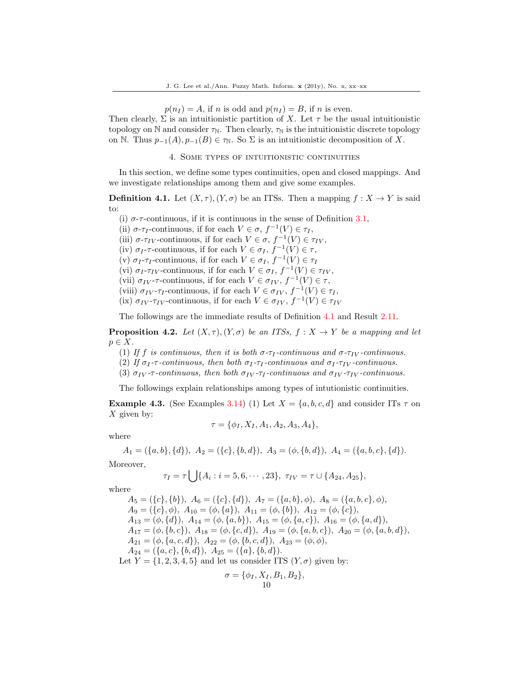$p(n_I) = A$ , if n is odd and  $p(n_I) = B$ , if n is even.

Then clearly,  $\Sigma$  is an intuitionistic partition of X. Let  $\tau$  be the usual intuitionistic topology on N and consider  $\tau_N$ . Then clearly,  $\tau_N$  is the intuitionistic discrete topology on N. Thus  $p_{-1}(A), p_{-1}(B) \in \tau_{\mathbb{N}}$ . So  $\Sigma$  is an intuitionistic decomposition of X.

4. Some types of intuitionistic continuities

In this section, we define some types continuities, open and closed mappings. And we investigate relationships among them and give some examples.

**Definition 4.1.** Let  $(X, \tau)$ ,  $(Y, \sigma)$  be an ITSs. Then a mapping  $f : X \to Y$  is said to:

(i)  $\sigma$ - $\tau$ -continuous, if it is continuous in the sense of Definition 3.1,

(ii)  $\sigma$ - $\tau_I$ -continuous, if for each  $V \in \sigma$ ,  $f^{-1}(V) \in \tau_I$ ,

(iii)  $\sigma$ - $\tau_{IV}$ -continuous, if for each  $V \in \sigma$ ,  $f^{-1}(V) \in \tau_{IV}$ ,

(iv)  $\sigma_I$ - $\tau$ -continuous, if for each  $V \in \sigma_I$ ,  $f^{-1}(V) \in \tau$ ,

(v)  $\sigma_I$ - $\tau_I$ -continuous, if for each  $V \in \sigma_I$ ,  $f^{-1}(V) \in \tau_I$ 

(vi)  $\sigma_I$ - $\tau_{IV}$ -continuous, if for each  $V \in \sigma_I$ ,  $f^{-1}(V) \in \tau_{IV}$ ,

(vii)  $\sigma_{IV}$ - $\tau$ -continuous, if for each  $V \in \sigma_{IV}$ ,  $f^{-1}(V) \in \tau$ ,

(viii)  $\sigma_{IV}$ - $\tau_{I}$ -continuous, if for each  $V \in \sigma_{IV}$ ,  $f^{-1}(V) \in \tau_{I}$ ,

(ix)  $\sigma_{IV}$ - $\tau_{IV}$ -continuous, if for each  $V \in \sigma_{IV}$ ,  $f^{-1}(V) \in \tau_{IV}$ 

The followings are the immediate results of Definition 4.1 and Result 2.11.

**Proposition 4.2.** Let  $(X, \tau)$ ,  $(Y, \sigma)$  be an ITSs,  $f : X \to Y$  be a mapping and let  $p \in X$ .

(1) If f is continuous, then it is both  $\sigma$ - $\tau_I$ -continuous and  $\sigma$ - $\tau_{IV}$ -continuous.

(2) If  $\sigma_I$ - $\tau$ -continuous, then both  $\sigma_I$ - $\tau_I$ -continuous and  $\sigma_I$ - $\tau_{IV}$ -continuous.

(3)  $\sigma_{IV}$ - $\tau$ -continuous, then both  $\sigma_{IV}$ - $\tau_{I}$ -continuous and  $\sigma_{IV}$ - $\tau_{IV}$ -continuous.

The followings explain relationships among types of intutionistic continuities.

**Example 4.3.** (See Examples 3.14) (1) Let  $X = \{a, b, c, d\}$  and consider ITs  $\tau$  on  $X$  given by:

$$
\tau = \{\phi_I, X_I, A_1, A_2, A_3, A_4\},\
$$

where

 $A_1 = (\{a, b\}, \{d\}), A_2 = (\{c\}, \{b, d\}), A_3 = (\phi, \{b, d\}), A_4 = (\{a, b, c\}, \{d\}).$ 

Moreover,

$$
\tau_I = \tau \bigcup \{ A_i : i = 5, 6, \cdots, 23 \}, \ \tau_{IV} = \tau \cup \{ A_{24}, A_{25} \},
$$

where

 $A_5 = (\{c\}, \{b\}), A_6 = (\{c\}, \{d\}), A_7 = (\{a, b\}, \phi), A_8 = (\{a, b, c\}, \phi),$  $A_9 = (\{c\}, \phi), A_{10} = (\phi, \{a\}), A_{11} = (\phi, \{b\}), A_{12} = (\phi, \{c\}),$  $A_{13} = (\phi, \{d\}), A_{14} = (\phi, \{a, b\}), A_{15} = (\phi, \{a, c\}), A_{16} = (\phi, \{a, d\}),$  $A_{17} = (\phi, \{b, c\}), A_{18} = (\phi, \{c, d\}), A_{19} = (\phi, \{a, b, c\}), A_{20} = (\phi, \{a, b, d\}),$  $A_{21} = (\phi, \{a, c, d\}), A_{22} = (\phi, \{b, c, d\}), A_{23} = (\phi, \phi),$  $A_{24} = (\{a, c\}, \{b, d\}), A_{25} = (\{a\}, \{b, d\}).$ Let  $Y = \{1, 2, 3, 4, 5\}$  and let us consider ITS  $(Y, \sigma)$  given by:

$$
\sigma = \{\phi_I, X_I, B_1, B_2\},
$$
  
10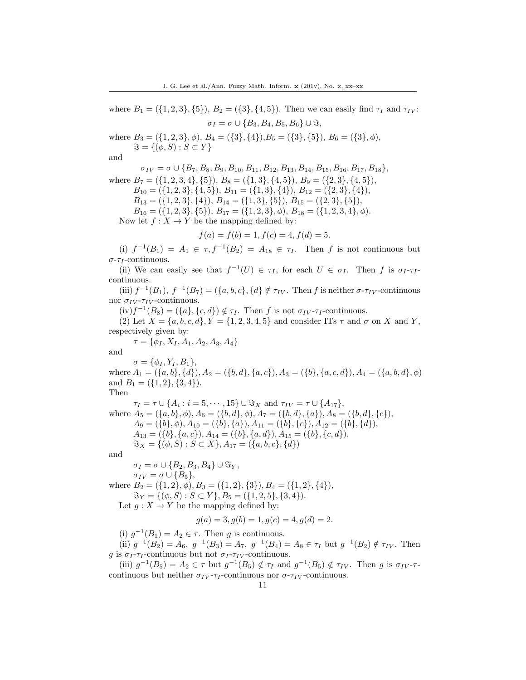where  $B_1 = (\{1, 2, 3\}, \{5\}), B_2 = (\{3\}, \{4, 5\}).$  Then we can easily find  $\tau_I$  and  $\tau_{IV}$ :  $\sigma_I = \sigma \cup \{B_3, B_4, B_5, B_6\} \cup \Im,$ 

where  $B_3 = (\{1, 2, 3\}, \phi), B_4 = (\{3\}, \{4\}), B_5 = (\{3\}, \{5\}), B_6 = (\{3\}, \phi),$  $\Im = \{ (\phi, S) : S \subset Y \}$ 

and

 $\sigma_{IV} = \sigma \cup \{B_7, B_8, B_9, B_{10}, B_{11}, B_{12}, B_{13}, B_{14}, B_{15}, B_{16}, B_{17}, B_{18}\},\$ where  $B_7 = (\{1, 2, 3, 4\}, \{5\}), B_8 = (\{1, 3\}, \{4, 5\}), B_9 = (\{2, 3\}, \{4, 5\}),$  $B_{10} = (\{1, 2, 3\}, \{4, 5\}), B_{11} = (\{1, 3\}, \{4\}), B_{12} = (\{2, 3\}, \{4\}),$ 

 $B_{13} = (\{1, 2, 3\}, \{4\}), B_{14} = (\{1, 3\}, \{5\}), B_{15} = (\{2, 3\}, \{5\}),$ 

 $B_{16} = (\{1, 2, 3\}, \{5\}), B_{17} = (\{1, 2, 3\}, \phi), B_{18} = (\{1, 2, 3, 4\}, \phi).$ 

Now let  $f: X \to Y$  be the mapping defined by:

$$
f(a) = f(b) = 1, f(c) = 4, f(d) = 5.
$$

(i)  $f^{-1}(B_1) = A_1 \in \tau, f^{-1}(B_2) = A_{18} \in \tau$ . Then f is not continuous but  $\sigma$ - $\tau_I$ -continuous.

(ii) We can easily see that  $f^{-1}(U) \in \tau_I$ , for each  $U \in \sigma_I$ . Then f is  $\sigma_I$ - $\tau_I$ continuous.

(iii)  $f^{-1}(B_1)$ ,  $f^{-1}(B_7) = (\{a, b, c\}, \{d\} \notin \tau_{IV}$ . Then f is neither  $\sigma$ - $\tau_{IV}$ -continuous nor  $\sigma_{IV}$ - $\tau_{IV}$ -continuous.

 $(iv) f^{-1}(B_8) = (\{a\}, \{c, d\}) \notin \tau_I$ . Then f is not  $\sigma_{IV}$ - $\tau_I$ -continuous.

(2) Let  $X = \{a, b, c, d\}$ ,  $Y = \{1, 2, 3, 4, 5\}$  and consider ITs  $\tau$  and  $\sigma$  on X and Y, respectively given by:

 $\tau = \{\phi_I, X_I, A_1, A_2, A_3, A_4\}$ 

and

 $\sigma = {\phi_I, Y_I, B_1},$ where  $A_1 = (\{a, b\}, \{d\}), A_2 = (\{b, d\}, \{a, c\}), A_3 = (\{b\}, \{a, c, d\}), A_4 = (\{a, b, d\}, \phi)$ and  $B_1 = (\{1,2\}, \{3,4\}).$ Then

 $\tau_I = \tau \cup \{A_i : i = 5, \cdots, 15\} \cup \Im_X \text{ and } \tau_{IV} = \tau \cup \{A_{17}\},\$ where  $A_5 = (\{a, b\}, \phi), A_6 = (\{b, d\}, \phi), A_7 = (\{b, d\}, \{a\}), A_8 = (\{b, d\}, \{c\}),$  $A_9 = (\{b\}, \phi), A_{10} = (\{b\}, \{a\}), A_{11} = (\{b\}, \{c\}), A_{12} = (\{b\}, \{d\}),$  $A_{13} = (\{b\}, \{a, c\}), A_{14} = (\{b\}, \{a, d\}), A_{15} = (\{b\}, \{c, d\}),$  $\Im_X = \{(\phi, S) : S \subset X\}, A_{17} = (\{a, b, c\}, \{d\})$ 

and

$$
\sigma_I = \sigma \cup \{B_2, B_3, B_4\} \cup \Im_Y,
$$

 $\sigma_{IV} = \sigma \cup \{B_5\},\$ 

where  $B_2 = (\{1, 2\}, \phi), B_3 = (\{1, 2\}, \{3\}), B_4 = (\{1, 2\}, \{4\}),$  $\mathcal{S}_Y = \{(\phi, S) : S \subset Y\}, B_5 = (\{1, 2, 5\}, \{3, 4\}).$ 

Let  $g: X \to Y$  be the mapping defined by:

$$
g(a) = 3, g(b) = 1, g(c) = 4, g(d) = 2.
$$

(i)  $g^{-1}(B_1) = A_2 \in \tau$ . Then g is continuous.

(ii)  $g^{-1}(B_2) = A_6$ ,  $g^{-1}(B_3) = A_7$ ,  $g^{-1}(B_4) = A_8 \in \tau_I$  but  $g^{-1}(B_2) \notin \tau_{IV}$ . Then g is  $\sigma_I$ - $\tau_I$ -continuous but not  $\sigma_I$ - $\tau_{IV}$ -continuous.

(iii)  $g^{-1}(B_5) = A_2 \in \tau$  but  $g^{-1}(B_5) \notin \tau_I$  and  $g^{-1}(B_5) \notin \tau_{IV}$ . Then g is  $\sigma_{IV}$ - $\tau$ continuous but neither  $\sigma_{IV}$ - $\tau_{I}$ -continuous nor  $\sigma$ - $\tau_{IV}$ -continuous.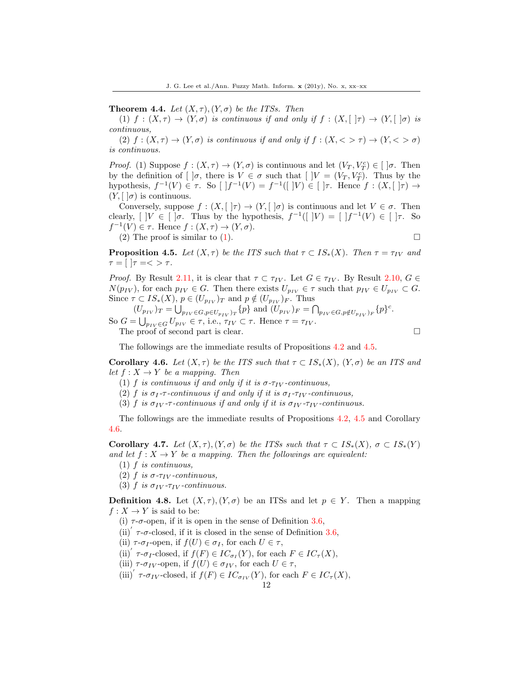**Theorem 4.4.** Let  $(X, \tau)$ ,  $(Y, \sigma)$  be the ITSs. Then

(1) f :  $(X, \tau) \to (Y, \sigma)$  is continuous if and only if  $f : (X, [\, \tau] \to (Y, [\, \sigma] \, \delta))$  is continuous,

(2)  $f:(X,\tau) \to (Y,\sigma)$  is continuous if and only if  $f:(X,\langle >\tau) \to (Y,\langle >\sigma)$ is continuous.

*Proof.* (1) Suppose  $f : (X, \tau) \to (Y, \sigma)$  is continuous and let  $(V_T, V_T^c) \in [\ ]\sigma]$ . Then by the definition of  $[\,]\sigma$ , there is  $V \in \sigma$  such that  $[\,]V = (V_T, V_T^c)$ . Thus by the hypothesis,  $f^{-1}(V) \in \tau$ . So  $\left[ |f^{-1}(V)| = f^{-1}(V) \right] \in \left[ \left[ \tau \right]$ . Hence  $f : (X, \left[ \tau \right] \to$  $(Y, \vert \vert \sigma)$  is continuous.

Conversely, suppose  $f : (X, [\ ]\tau) \to (Y, [\ ]\sigma)$  is continuous and let  $V \in \sigma$ . Then clearly,  $[|V \in []\sigma$ . Thus by the hypothesis,  $f^{-1}([|V) = [|f^{-1}(V) \in [|\tau|]$ . So  $f^{-1}(V) \in \tau$ . Hence  $f: (X, \tau) \to (Y, \sigma)$ .

 $(2)$  The proof is similar to  $(1)$ .

$$
\Box
$$

**Proposition 4.5.** Let  $(X, \tau)$  be the ITS such that  $\tau \subset IS_*(X)$ . Then  $\tau = \tau_{IV}$  and  $\tau = [$   $|\tau = < \rangle \tau$ .

*Proof.* By Result 2.11, it is clear that  $\tau \subset \tau_{IV}$ . Let  $G \in \tau_{IV}$ . By Result 2.10,  $G \in$  $N(p_{IV})$ , for each  $p_{IV} \in G$ . Then there exists  $U_{p_{IV}} \in \tau$  such that  $p_{IV} \in U_{p_{IV}} \subset G$ . Since  $\tau \subset IS_*(X)$ ,  $p \in (U_{p_{IV}})_T$  and  $p \notin (U_{p_{IV}})_F$ . Thus

 $(U_{p_{IV}})_T = \bigcup_{p_{IV} \in G, p \in U_{p_{IV}}}_T \{p\}$  and  $(U_{p_{IV}})_F = \bigcap_{p_{IV} \in G, p \notin U_{p_{IV}}}_F \{p\}^c$ . So  $G = \bigcup_{p_{IV} \in G} U_{p_{IV}} \in \tau$ , i.e.,  $\tau_{IV} \subset \tau$ . Hence  $\tau = \tau_{IV}$ . The proof of second part is clear.

The followings are the immediate results of Propositions 4.2 and 4.5.

Corollary 4.6. Let  $(X, \tau)$  be the ITS such that  $\tau \subset IS_*(X)$ ,  $(Y, \sigma)$  be an ITS and let  $f: X \to Y$  be a mapping. Then

- (1) f is continuous if and only if it is  $\sigma$ - $\tau_{IV}$ -continuous,
- (2) f is  $\sigma_I$ - $\tau$ -continuous if and only if it is  $\sigma_I$ - $\tau_{IV}$ -continuous,
- (3) f is  $\sigma_{IV}$ - $\tau$ -continuous if and only if it is  $\sigma_{IV}$ - $\tau_{IV}$ -continuous.

The followings are the immediate results of Propositions 4.2, 4.5 and Corollary 4.6.

Corollary 4.7. Let  $(X, \tau)$ ,  $(Y, \sigma)$  be the ITSs such that  $\tau \subset IS_*(X)$ ,  $\sigma \subset IS_*(Y)$ and let  $f: X \to Y$  be a mapping. Then the followings are equivalent:

- (1) f is continuous,
- (2) f is  $\sigma$ - $\tau_{IV}$ -continuous,
- (3) f is  $\sigma_{IV}$ - $\tau_{IV}$ -continuous.

**Definition 4.8.** Let  $(X, \tau)$ ,  $(Y, \sigma)$  be an ITSs and let  $p \in Y$ . Then a mapping  $f: X \to Y$  is said to be:

- (i)  $\tau$ - $\sigma$ -open, if it is open in the sense of Definition 3.6,
- (ii)<sup> $\tau$ </sup>  $\tau$ - $\sigma$ -closed, if it is closed in the sense of Definition 3.6,
- (ii)  $\tau$ - $\sigma$ <sub>I</sub>-open, if  $f(U) \in \sigma$ <sub>I</sub>, for each  $U \in \tau$ ,
- (ii)'  $\tau$ - $\sigma_I$ -closed, if  $f(F) \in IC_{\sigma_I}(Y)$ , for each  $F \in IC_{\tau}(X)$ ,
- (iii)  $\tau$ - $\sigma_{IV}$ -open, if  $f(U) \in \sigma_{IV}$ , for each  $U \in \tau$ ,
- (iii)'  $\tau$ - $\sigma_{IV}$ -closed, if  $f(F) \in IC_{\sigma_{IV}}(Y)$ , for each  $F \in IC_{\tau}(X)$ ,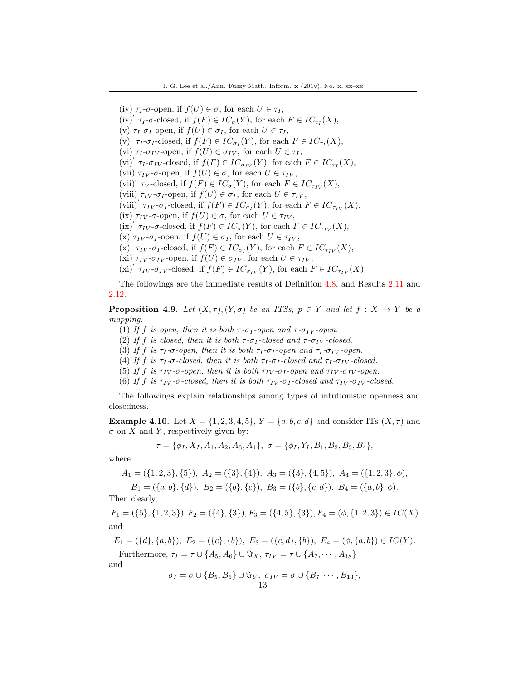(iv)  $\tau_I$ - $\sigma$ -open, if  $f(U) \in \sigma$ , for each  $U \in \tau_I$ ,

- (iv)'  $\tau_I$ - $\sigma$ -closed, if  $f(F) \in IC_{\sigma}(Y)$ , for each  $F \in IC_{\tau_I}(X)$ ,
- (v)  $\tau_I$ - $\sigma_I$ -open, if  $f(U) \in \sigma_I$ , for each  $U \in \tau_I$ ,
- (v)'  $\tau_I$ - $\sigma_I$ -closed, if  $f(F) \in IC_{\sigma_I}(Y)$ , for each  $F \in IC_{\tau_I}(X)$ ,
- (vi)  $\tau_I$ - $\sigma_{IV}$ -open, if  $f(U) \in \sigma_{IV}$ , for each  $U \in \tau_I$ ,
- (vi)'  $\tau_I$ - $\sigma_{IV}$ -closed, if  $f(F) \in IC_{\sigma_{IV}}(Y)$ , for each  $F \in IC_{\tau_I}(X)$ ,
- (vii)  $\tau_{IV}$ - $\sigma$ -open, if  $f(U) \in \sigma$ , for each  $U \in \tau_{IV}$ ,
- (vii)'  $\tau_V$ -closed, if  $f(F) \in IC_{\sigma}(Y)$ , for each  $F \in IC_{\tau_{IV}}(X)$ ,
- (viii)  $\tau_{IV}$ - $\sigma_{I}$ -open, if  $f(U) \in \sigma_{I}$ , for each  $U \in \tau_{IV}$ ,
- (viii)'  $\tau_{IV}$ - $\sigma_{I}$ -closed, if  $f(F) \in IC_{\sigma_{I}}(Y)$ , for each  $F \in IC_{\tau_{IV}}(X)$ ,
- (ix)  $\tau_{IV}$ -σ-open, if  $f(U) \in \sigma$ , for each  $U \in \tau_{IV}$ ,
- $(ix)$ <sup>'</sup>  $\tau_{IV}$ - $\sigma$ -closed, if  $f(F) \in IC_{\sigma}(Y)$ , for each  $F \in IC_{\tau_{IV}}(X)$ ,
- (x)  $\tau_{IV}$ - $\sigma_{I}$ -open, if  $f(U) \in \sigma_{I}$ , for each  $U \in \tau_{IV}$ ,
- (x)'  $\tau_{IV}$ - $\sigma_{I}$ -closed, if  $f(F) \in IC_{\sigma_{I}}(Y)$ , for each  $F \in IC_{\tau_{IV}}(X)$ ,
- (xi)  $\tau_{IV}$ - $\sigma_{IV}$ -open, if  $f(U) \in \sigma_{IV}$ , for each  $U \in \tau_{IV}$ ,
- (xi)<sup>'</sup>  $\tau_{IV}$ - $\sigma_{IV}$ -closed, if  $f(F) \in IC_{\sigma_{IV}}(Y)$ , for each  $F \in IC_{\tau_{IV}}(X)$ .

The followings are the immediate results of Definition 4.8, and Results 2.11 and 2.12.

**Proposition 4.9.** Let  $(X, \tau)$ ,  $(Y, \sigma)$  be an ITSs,  $p \in Y$  and let  $f : X \to Y$  be a mapping.

- (1) If f is open, then it is both  $\tau$ - $\sigma_I$ -open and  $\tau$ - $\sigma_{IV}$ -open.
- (2) If f is closed, then it is both  $\tau$ - $\sigma_I$ -closed and  $\tau$ - $\sigma_{IV}$ -closed.
- (3) If f is  $\tau_I$ - $\sigma$ -open, then it is both  $\tau_I$ - $\sigma_I$ -open and  $\tau_I$ - $\sigma_{IV}$ -open.
- (4) If f is  $\tau_I$ - $\sigma$ -closed, then it is both  $\tau_I$ - $\sigma_I$ -closed and  $\tau_I$ - $\sigma_{IV}$ -closed.
- (5) If f is  $\tau_{IV}$ - $\sigma$ -open, then it is both  $\tau_{IV}$ - $\sigma_{I}$ -open and  $\tau_{IV}$ - $\sigma_{IV}$ -open.
- (6) If f is  $\tau_{IV}$ -σ-closed, then it is both  $\tau_{IV}$ -σ<sub>I</sub>-closed and  $\tau_{IV}$ -σ<sub>IV</sub>-closed.

The followings explain relationships among types of intutionistic openness and closedness.

**Example 4.10.** Let  $X = \{1, 2, 3, 4, 5\}$ ,  $Y = \{a, b, c, d\}$  and consider ITs  $(X, \tau)$  and  $\sigma$  on X and Y, respectively given by:

$$
\tau = \{\phi_I, X_I, A_1, A_2, A_3, A_4\}, \ \sigma = \{\phi_I, Y_I, B_1, B_2, B_3, B_4\},\
$$

where

$$
A_1 = (\{1, 2, 3\}, \{5\}), A_2 = (\{3\}, \{4\}), A_3 = (\{3\}, \{4, 5\}), A_4 = (\{1, 2, 3\}, \phi),
$$

$$
B_1 = (\{a, b\}, \{d\}), B_2 = (\{b\}, \{c\}), B_3 = (\{b\}, \{c, d\}), B_4 = (\{a, b\}, \phi).
$$

Then clearly,

 $F_1 = (\{5\}, \{1, 2, 3\}), F_2 = (\{4\}, \{3\}), F_3 = (\{4, 5\}, \{3\}), F_4 = (\phi, \{1, 2, 3\}) \in IC(X)$ and

$$
E_1 = (\{d\}, \{a, b\}), E_2 = (\{c\}, \{b\}), E_3 = (\{c, d\}, \{b\}), E_4 = (\phi, \{a, b\}) \in IC(Y).
$$
  
Furthermore,  $\tau_I = \tau \cup \{A_5, A_6\} \cup \Im_X$ ,  $\tau_{IV} = \tau \cup \{A_7, \dots, A_{18}\}$ 

and

$$
\sigma_I = \sigma \cup \{B_5, B_6\} \cup \Im_Y, \ \sigma_{IV} = \sigma \cup \{B_7, \cdots, B_{13}\},
$$
  
13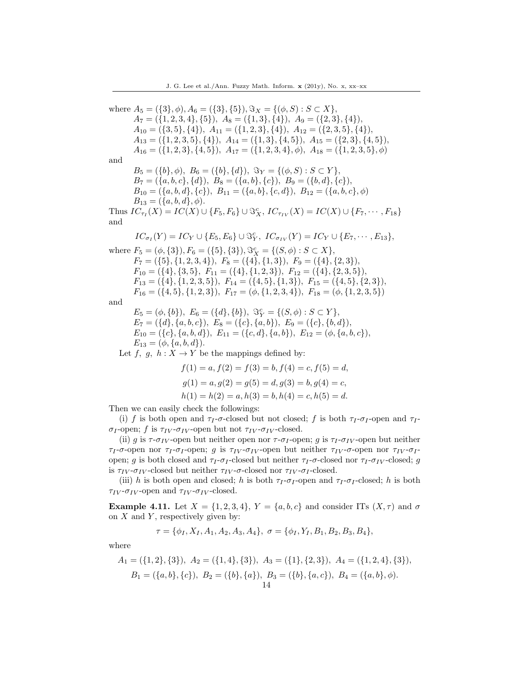where  $A_5 = (\{3\}, \phi), A_6 = (\{3\}, \{5\}), \Im_X = \{(\phi, S) : S \subset X\},\$  $A_7 = (\{1, 2, 3, 4\}, \{5\}), A_8 = (\{1, 3\}, \{4\}), A_9 = (\{2, 3\}, \{4\}),$  $A_{10} = (\{3, 5\}, \{4\}), A_{11} = (\{1, 2, 3\}, \{4\}), A_{12} = (\{2, 3, 5\}, \{4\}),$  $A_{13} = (\{1, 2, 3, 5\}, \{4\}), A_{14} = (\{1, 3\}, \{4, 5\}), A_{15} = (\{2, 3\}, \{4, 5\}),$  $A_{16} = (\{1, 2, 3\}, \{4, 5\}), A_{17} = (\{1, 2, 3, 4\}, \phi), A_{18} = (\{1, 2, 3, 5\}, \phi)$ and  $B_5 = (\{b\}, \phi), B_6 = (\{b\}, \{d\}), \Im_Y = \{(\phi, S) : S \subset Y\},\$  $B_7 = (\{a, b, c\}, \{d\}), B_8 = (\{a, b\}, \{c\}), B_9 = (\{b, d\}, \{c\}),$  $B_{10} = (\{a, b, d\}, \{c\}), B_{11} = (\{a, b\}, \{c, d\}), B_{12} = (\{a, b, c\}, \phi)$  $B_{13} = (\{a, b, d\}, \phi).$ Thus  $IC_{\tau_I}(X) = IC(X) \cup \{F_5, F_6\} \cup \mathcal{S}_X^c$ ,  $IC_{\tau_{IV}}(X) = IC(X) \cup \{F_7, \cdots, F_{18}\}$ and  $IC_{\sigma_I}(Y) = IC_Y \cup \{E_5, E_6\} \cup \Im_Y^c, \ IC_{\sigma_{IV}}(Y) = IC_Y \cup \{E_7, \cdots, E_{13}\},\$ where  $F_5 = (\phi, \{3\}), F_6 = (\{5\}, \{3\}), \Im_X^c = \{(S, \phi) : S \subset X\},\$  $F_7 = (\{5\}, \{1, 2, 3, 4\}), F_8 = (\{4\}, \{1, 3\}), F_9 = (\{4\}, \{2, 3\}),$  $F_{10} = (\{4\}, \{3, 5\}, F_{11} = (\{4\}, \{1, 2, 3\}), F_{12} = (\{4\}, \{2, 3, 5\}),$  $F_{13} = (\{4\}, \{1, 2, 3, 5\}), F_{14} = (\{4, 5\}, \{1, 3\}), F_{15} = (\{4, 5\}, \{2, 3\}),$  $F_{16} = (\{4, 5\}, \{1, 2, 3\}), F_{17} = (\phi, \{1, 2, 3, 4\}), F_{18} = (\phi, \{1, 2, 3, 5\})$ and  $E_5 = (\phi, \{b\}), E_6 = (\{d\}, \{b\}), \Im_Y^c = \{(S, \phi) : S \subset Y\},\$  $E_7 = (\{d\}, \{a, b, c\}), E_8 = (\{c\}, \{a, b\}), E_9 = (\{c\}, \{b, d\}),$  $E_{10} = (\{c\}, \{a, b, d\}), E_{11} = (\{c, d\}, \{a, b\}), E_{12} = (\phi, \{a, b, c\}),$  $E_{13} = (\phi, \{a, b, d\}).$ Let f, g,  $h: X \to Y$  be the mappings defined by:

$$
f(1) = a, f(2) = f(3) = b, f(4) = c, f(5) = d,
$$
  
\n
$$
g(1) = a, g(2) = g(5) = d, g(3) = b, g(4) = c,
$$
  
\n
$$
h(1) = h(2) = a, h(3) = b, h(4) = c, h(5) = d.
$$

Then we can easily check the followings:

(i) f is both open and  $\tau_I$ - $\sigma$ -closed but not closed; f is both  $\tau_I$ - $\sigma_I$ -open and  $\tau_I$ - $\sigma_I$ -open; f is  $\tau_{IV}$ - $\sigma_{IV}$ -open but not  $\tau_{IV}$ - $\sigma_{IV}$ -closed.

(ii) g is  $\tau$ - $\sigma_{IV}$ -open but neither open nor  $\tau$ - $\sigma_{I}$ -open; g is  $\tau_{I}$ - $\sigma_{IV}$ -open but neither  $\tau_I$ -σ-open nor  $\tau_I$ -σ<sub>I</sub>-open; g is  $\tau_{IV}$ -σ<sub>IV</sub>-open but neither  $\tau_{IV}$ -σ-open nor  $\tau_{IV}$ -σ<sub>I</sub>open; g is both closed and  $\tau_I$ - $\sigma_I$ -closed but neither  $\tau_I$ - $\sigma$ -closed nor  $\tau_I$ - $\sigma_{IV}$ -closed; g is  $\tau_{IV}$ - $\sigma_{IV}$ -closed but neither  $\tau_{IV}$ - $\sigma$ -closed nor  $\tau_{IV}$ - $\sigma_{I}$ -closed.

(iii) h is both open and closed; h is both  $\tau_I$ - $\sigma_I$ -open and  $\tau_I$ - $\sigma_I$ -closed; h is both  $\tau_{IV}$ - $\sigma_{IV}$ -open and  $\tau_{IV}$ - $\sigma_{IV}$ -closed.

**Example 4.11.** Let  $X = \{1, 2, 3, 4\}$ ,  $Y = \{a, b, c\}$  and consider ITs  $(X, \tau)$  and  $\sigma$ on  $X$  and  $Y$ , respectively given by:

$$
\tau = \{\phi_I, X_I, A_1, A_2, A_3, A_4\}, \ \sigma = \{\phi_I, Y_I, B_1, B_2, B_3, B_4\},\
$$

where

$$
A_1 = (\{1, 2\}, \{3\}), A_2 = (\{1, 4\}, \{3\}), A_3 = (\{1\}, \{2, 3\}), A_4 = (\{1, 2, 4\}, \{3\}),
$$
  
\n
$$
B_1 = (\{a, b\}, \{c\}), B_2 = (\{b\}, \{a\}), B_3 = (\{b\}, \{a, c\}), B_4 = (\{a, b\}, \phi).
$$
  
\n14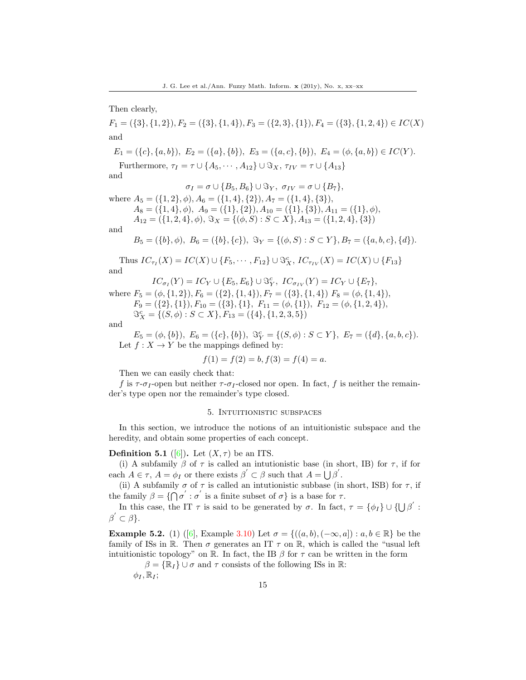Then clearly,

 $F_1 = (\{3\}, \{1, 2\}), F_2 = (\{3\}, \{1, 4\}), F_3 = (\{2, 3\}, \{1\}), F_4 = (\{3\}, \{1, 2, 4\}) \in IC(X)$ and

$$
E_1 = (\{c\}, \{a, b\}), E_2 = (\{a\}, \{b\}), E_3 = (\{a, c\}, \{b\}), E_4 = (\phi, \{a, b\}) \in IC(Y).
$$

Furthermore,  $\tau_I = \tau \cup \{A_5, \cdots, A_{12}\} \cup \Im_X$ ,  $\tau_{IV} = \tau \cup \{A_{13}\}$ 

and

$$
\sigma_I = \sigma \cup \{B_5, B_6\} \cup \Im_Y, \ \sigma_{IV} = \sigma \cup \{B_7\},\
$$

where  $A_5 = (\{1, 2\}, \phi), A_6 = (\{1, 4\}, \{2\}), A_7 = (\{1, 4\}, \{3\}),$  $A_8 = (\{1, 4\}, \phi)$ ,  $A_9 = (\{1\}, \{2\}), A_{10} = (\{1\}, \{3\}), A_{11} = (\{1\}, \phi)$ 

$$
A_{12} = (\{1, 2, 4\}, \phi), \ \Im_X = \{(\phi, S) : S \subset X\}, A_{13} = (\{1, 2, 4\}, \{3\})
$$

and

$$
B_5 = (\{b\}, \phi), \ B_6 = (\{b\}, \{c\}), \ \Im_Y = \{(\phi, S) : S \subset Y\}, B_7 = (\{a, b, c\}, \{d\}).
$$

Thus  $IC_{\tau_I}(X) = IC(X) \cup \{F_5, \cdots, F_{12}\} \cup \Im_X^c$ ,  $IC_{\tau_{IV}}(X) = IC(X) \cup \{F_{13}\}$ and

$$
IC_{\sigma_I}(Y) = IC_Y \cup \{E_5, E_6\} \cup \mathfrak{F}_Y^c, \ IC_{\sigma_{IV}}(Y) = IC_Y \cup \{E_7\},\
$$

where  $F_5 = (\phi, \{1, 2\}), F_6 = (\{2\}, \{1, 4\}), F_7 = (\{3\}, \{1, 4\})$   $F_8 = (\phi, \{1, 4\}),$  $F_9 = (\{2\}, \{1\}), F_{10} = (\{3\}, \{1\}, F_{11} = (\phi, \{1\}), F_{12} = (\phi, \{1, 2, 4\}),$  $\mathfrak{S}_X^c = \{ (S, \phi) : S \subset X \}, F_{13} = (\{ 4 \}, \{ 1, 2, 3, 5 \})$ 

and

 $E_5 = (\phi, \{b\}), E_6 = (\{c\}, \{b\}), \Im_Y^c = \{(S, \phi) : S \subset Y\}, E_7 = (\{d\}, \{a, b, c\}).$ Let  $f: X \to Y$  be the mappings defined by:

$$
f(1) = f(2) = b, f(3) = f(4) = a.
$$

Then we can easily check that:

f is  $\tau$ - $\sigma_I$ -open but neither  $\tau$ - $\sigma_I$ -closed nor open. In fact, f is neither the remainder's type open nor the remainder's type closed.

#### 5. Intuitionistic subspaces

In this section, we introduce the notions of an intuitionistic subspace and the heredity, and obtain some properties of each concept.

# **Definition 5.1** ([\[6\]](#page-19-3)). Let  $(X, \tau)$  be an ITS.

(i) A subfamily  $\beta$  of  $\tau$  is called an intutionistic base (in short, IB) for  $\tau$ , if for each  $A \in \tau$ ,  $A = \phi_I$  or there exists  $\beta' \subset \beta$  such that  $A = \bigcup \beta'$ .

(ii) A subfamily  $\sigma$  of  $\tau$  is called an intutionistic subbase (in short, ISB) for  $\tau$ , if the family  $\beta = \{ \bigcap \sigma' : \sigma' \text{ is a finite subset of } \sigma \} \text{ is a base for } \tau.$ 

In this case, the IT  $\tau$  is said to be generated by  $\sigma$ . In fact,  $\tau = {\phi_I} \cup {\{\bigcup \beta' : \}}$  $\beta' \subset \beta$ .

**Example 5.2.** (1) ([\[6\]](#page-19-3), Example 3.10) Let  $\sigma = \{((a, b), (-\infty, a]) : a, b \in \mathbb{R}\}$  be the family of ISs in R. Then  $\sigma$  generates an IT  $\tau$  on R, which is called the "usual left intuitionistic topology" on R. In fact, the IB  $\beta$  for  $\tau$  can be written in the form

 $\beta = {\mathbb{R}_I} \cup \sigma$  and  $\tau$  consists of the following ISs in R:

 $\phi_I, \mathbb{R}_I;$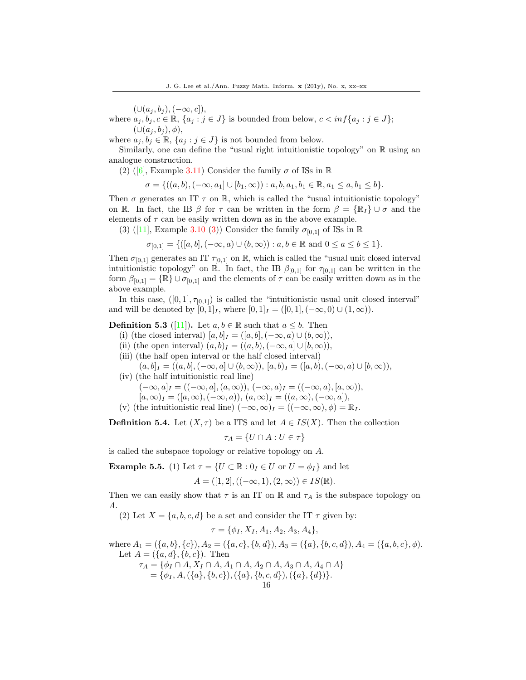$(\cup (a_j, b_j), (-\infty, c]),$ 

where  $a_j, b_j, c \in \mathbb{R}$ ,  $\{a_j : j \in J\}$  is bounded from below,  $c < \inf\{a_j : j \in J\}$ ;  $(\cup (a_j, b_j), \phi),$ 

where  $a_j, b_j \in \mathbb{R}$ ,  $\{a_j : j \in J\}$  is not bounded from below.

Similarly, one can define the "usual right intuitionistic topology" on  $\mathbb R$  using an analogue construction.

(2) ([\[6\]](#page-19-3), Example 3.11) Consider the family  $\sigma$  of ISs in  $\mathbb R$ 

$$
\sigma = \{ ((a, b), (-\infty, a_1] \cup [b_1, \infty)) : a, b, a_1, b_1 \in \mathbb{R}, a_1 \le a, b_1 \le b \}.
$$

Then  $\sigma$  generates an IT  $\tau$  on R, which is called the "usual intuitionistic topology" on R. In fact, the IB  $\beta$  for  $\tau$  can be written in the form  $\beta = {\mathbb{R}}_I \cup \sigma$  and the elements of  $\tau$  can be easily written down as in the above example.

(3) ([\[11\]](#page-19-9), Example 3.10 (3)) Consider the family  $\sigma_{[0,1]}$  of ISs in R

$$
\sigma_{[0,1]} = \{([a,b], (-\infty, a) \cup (b,\infty)) : a, b \in \mathbb{R} \text{ and } 0 \le a \le b \le 1\}.
$$

Then  $\sigma_{[0,1]}$  generates an IT  $\tau_{[0,1]}$  on R, which is called the "usual unit closed interval" intuitionistic topology" on R. In fact, the IB  $\beta_{[0,1]}$  for  $\tau_{[0,1]}$  can be written in the form  $\beta_{[0,1]} = {\mathbb{R}} \cup \sigma_{[0,1]}$  and the elements of  $\tau$  can be easily written down as in the above example.

In this case,  $([0, 1], \tau_{[0,1]})$  is called the "intuitionistic usual unit closed interval" and will be denoted by  $[0, 1]_I$ , where  $[0, 1]_I = ([0, 1], (-\infty, 0) \cup (1, \infty)).$ 

# **Definition 5.3** ([\[11\]](#page-19-9)). Let  $a, b \in \mathbb{R}$  such that  $a \leq b$ . Then

- (i) (the closed interval)  $[a, b]_I = ([a, b], (-\infty, a) \cup (b, \infty)),$
- (ii) (the open interval)  $(a, b)$ <sub>I</sub> =  $((a, b), (-\infty, a] \cup [b, \infty)),$
- (iii) (the half open interval or the half closed interval)
	- $(a, b]_I = ((a, b], (-\infty, a] \cup (b, \infty)), [a, b]_I = ([a, b], (-\infty, a] \cup [b, \infty)),$
- (iv) (the half intuitionistic real line)

$$
(-\infty, a]_I = ((-\infty, a], (a, \infty)), (-\infty, a)_I = ((-\infty, a), [a, \infty)),
$$

 $[a, \infty)_I = ([a, \infty), (-\infty, a)), (a, \infty)_I = ((a, \infty), (-\infty, a]),$ 

(v) (the intuitionistic real line)  $(-\infty, \infty)_I = ((-\infty, \infty), \phi) = \mathbb{R}_I$ .

**Definition 5.4.** Let  $(X, \tau)$  be a ITS and let  $A \in IS(X)$ . Then the collection

$$
\tau_A = \{ U \cap A : U \in \tau \}
$$

is called the subspace topology or relative topology on A.

**Example 5.5.** (1) Let  $\tau = \{U \subset \mathbb{R} : 0_I \in U \text{ or } U = \phi_I\}$  and let

$$
A = ([1, 2], ((-\infty, 1), (2, \infty)) \in IS(\mathbb{R}).
$$

Then we can easily show that  $\tau$  is an IT on R and  $\tau_A$  is the subspace topology on A.

(2) Let  $X = \{a, b, c, d\}$  be a set and consider the IT  $\tau$  given by:

$$
\tau = \{\phi_I, X_I, A_1, A_2, A_3, A_4\},\
$$

where  $A_1 = (\{a, b\}, \{c\}), A_2 = (\{a, c\}, \{b, d\}), A_3 = (\{a\}, \{b, c, d\}), A_4 = (\{a, b, c\}, \phi).$ Let  $A = (\{a, d\}, \{b, c\})$ . Then  $\tau_A = \{\phi_I \cap A, X_I \cap A, A_1 \cap A, A_2 \cap A, A_3 \cap A, A_4 \cap A\}$ 

 $=\{\phi_I, A, (\{a\}, \{b, c\}), (\{a\}, \{b, c, d\}), (\{a\}, \{d\})\}.$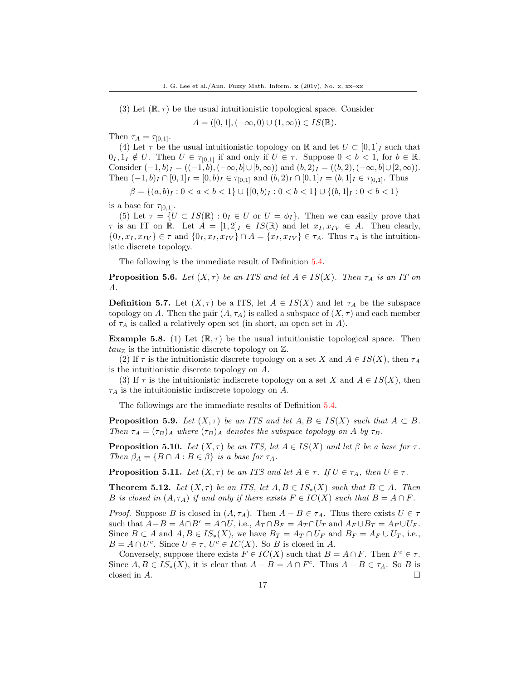(3) Let  $(\mathbb{R}, \tau)$  be the usual intuitionistic topological space. Consider

 $A = ([0, 1], (-\infty, 0) \cup (1, \infty)) \in IS(\mathbb{R}).$ 

Then  $\tau_A = \tau_{[0,1]}$ .

(4) Let  $\tau$  be the usual intuitionistic topology on R and let  $U \subset [0,1]_I$  such that  $0_I, 1_I \notin U$ . Then  $U \in \tau_{[0,1]}$  if and only if  $U \in \tau$ . Suppose  $0 < b < 1$ , for  $b \in \mathbb{R}$ . Consider  $(-1, b)$ <sub>I</sub> =  $((-1, b), (-\infty, b] \cup [b, \infty))$  and  $(b, 2)$ <sub>I</sub> =  $((b, 2), (-\infty, b] \cup [2, \infty))$ . Then  $(-1, b)$ <sub>I</sub> ∩  $[0, 1]$ <sub>I</sub> =  $[0, b)$ <sub>I</sub> ∈  $\tau_{[0,1]}$  and  $(b, 2)$ <sub>I</sub> ∩  $[0, 1]$ <sub>I</sub> =  $(b, 1]$ <sub>I</sub> ∈  $\tau_{[0,1]}$ . Thus

$$
\beta = \{(a, b)_I : 0 < a < b < 1\} \cup \{[0, b)_I : 0 < b < 1\} \cup \{(b, 1]_I : 0 < b < 1\}
$$

is a base for  $\tau_{[0,1]}$ .

(5) Let  $\tau = \{U \subset IS(\mathbb{R}) : 0_I \in U \text{ or } U = \phi_I\}.$  Then we can easily prove that  $\tau$  is an IT on R. Let  $A = [1, 2]_I \in IS(\mathbb{R})$  and let  $x_I, x_{IV} \in A$ . Then clearly,  $\{0_I, x_I, x_{IV}\} \in \tau$  and  $\{0_I, x_I, x_{IV}\} \cap A = \{x_I, x_{IV}\} \in \tau_A$ . Thus  $\tau_A$  is the intuitionistic discrete topology.

The following is the immediate result of Definition 5.4.

**Proposition 5.6.** Let  $(X, \tau)$  be an ITS and let  $A \in IS(X)$ . Then  $\tau_A$  is an IT on A.

**Definition 5.7.** Let  $(X, \tau)$  be a ITS, let  $A \in IS(X)$  and let  $\tau_A$  be the subspace topology on A. Then the pair  $(A, \tau_A)$  is called a subspace of  $(X, \tau)$  and each member of  $\tau_A$  is called a relatively open set (in short, an open set in A).

**Example 5.8.** (1) Let  $(\mathbb{R}, \tau)$  be the usual intuitionistic topological space. Then  $tau_{\mathbb{Z}}$  is the intuitionistic discrete topology on  $\mathbb{Z}$ .

(2) If  $\tau$  is the intuitionistic discrete topology on a set X and  $A \in IS(X)$ , then  $\tau_A$ is the intuitionistic discrete topology on A.

(3) If  $\tau$  is the intuitionistic indiscrete topology on a set X and  $A \in IS(X)$ , then  $\tau_A$  is the intuitionistic indiscrete topology on A.

The followings are the immediate results of Definition 5.4.

**Proposition 5.9.** Let  $(X, \tau)$  be an ITS and let  $A, B \in IS(X)$  such that  $A \subset B$ . Then  $\tau_A = (\tau_B)_A$  where  $(\tau_B)_A$  denotes the subspace topology on A by  $\tau_B$ .

**Proposition 5.10.** Let  $(X, \tau)$  be an ITS, let  $A \in IS(X)$  and let  $\beta$  be a base for  $\tau$ . Then  $\beta_A = \{B \cap A : B \in \beta\}$  is a base for  $\tau_A$ .

**Proposition 5.11.** Let  $(X, \tau)$  be an ITS and let  $A \in \tau$ . If  $U \in \tau_A$ , then  $U \in \tau$ .

**Theorem 5.12.** Let  $(X, \tau)$  be an ITS, let  $A, B \in IS_*(X)$  such that  $B \subset A$ . Then B is closed in  $(A, \tau_A)$  if and only if there exists  $F \in IC(X)$  such that  $B = A \cap F$ .

*Proof.* Suppose B is closed in  $(A, \tau_A)$ . Then  $A - B \in \tau_A$ . Thus there exists  $U \in \tau$ such that  $A-B = A \cap B^c = A \cap U$ , i.e.,  $A_T \cap B_F = A_T \cap U_T$  and  $A_F \cup B_T = A_F \cup U_F$ . Since  $B \subset A$  and  $A, B \in IS_*(X)$ , we have  $B_T = A_T \cap U_F$  and  $B_F = A_F \cup U_T$ , i.e.,  $B = A \cap U^c$ . Since  $U \in \tau$ ,  $U^c \in IC(X)$ . So B is closed in A.

Conversely, suppose there exists  $F \in IC(X)$  such that  $B = A \cap F$ . Then  $F^c \in \tau$ . Since  $A, B \in IS_*(X)$ , it is clear that  $A - B = A \cap F^c$ . Thus  $A - B \in \tau_A$ . So B is closed in  $A$ .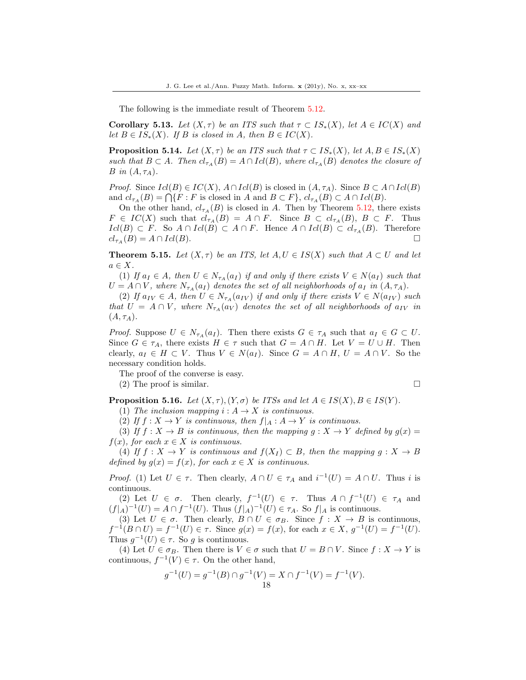The following is the immediate result of Theorem 5.12.

Corollary 5.13. Let  $(X, \tau)$  be an ITS such that  $\tau \subset IS_*(X)$ , let  $A \in IC(X)$  and let  $B \in IS_*(X)$ . If B is closed in A, then  $B \in IC(X)$ .

**Proposition 5.14.** Let  $(X, \tau)$  be an ITS such that  $\tau \subset IS_*(X)$ , let  $A, B \in IS_*(X)$ such that  $B \subset A$ . Then  $cl_{\tau_A}(B) = A \cap Id(B)$ , where  $cl_{\tau_A}(B)$  denotes the closure of B in  $(A, \tau_A)$ .

*Proof.* Since  $Icl(B) \in IC(X)$ ,  $A \cap Icl(B)$  is closed in  $(A, \tau_A)$ . Since  $B \subset A \cap Icl(B)$ and  $cl_{\tau_A}(B) = \bigcap \{F : F \text{ is closed in } A \text{ and } B \subset F\}, cl_{\tau_A}(B) \subset A \cap Id(B).$ 

On the other hand,  $cl_{\tau_A}(B)$  is closed in A. Then by Theorem 5.12, there exists  $F \in IC(X)$  such that  $cl_{\tau_A}(B) = A \cap F$ . Since  $B \subset cl_{\tau_A}(B)$ ,  $B \subset F$ . Thus  $Icl(B) \subset F$ . So  $A \cap Icl(B) \subset A \cap F$ . Hence  $A \cap Icl(B) \subset cl_{\tau_A}(B)$ . Therefore  $cl_{\tau_A}(B) = A \cap Icl(B).$ 

**Theorem 5.15.** Let  $(X, \tau)$  be an ITS, let  $A, U \in IS(X)$  such that  $A \subset U$  and let  $a \in X$ .

(1) If  $a_I \in A$ , then  $U \in N_{\tau_A}(a_I)$  if and only if there exists  $V \in N(a_I)$  such that  $U = A \cap V$ , where  $N_{\tau_A}(a_I)$  denotes the set of all neighborhoods of  $a_I$  in  $(A, \tau_A)$ .

(2) If  $a_{IV} \in A$ , then  $U \in N_{\tau_A}(a_{IV})$  if and only if there exists  $V \in N(a_{IV})$  such that  $U = A \cap V$ , where  $N_{\tau_A}(a_V)$  denotes the set of all neighborhoods of  $a_{IV}$  in  $(A, \tau_A).$ 

*Proof.* Suppose  $U \in N_{\tau_A}(a_I)$ . Then there exists  $G \in \tau_A$  such that  $a_I \in G \subset U$ . Since  $G \in \tau_A$ , there exists  $H \in \tau$  such that  $G = A \cap H$ . Let  $V = U \cup H$ . Then clearly,  $a_I \in H \subset V$ . Thus  $V \in N(a_I)$ . Since  $G = A \cap H$ ,  $U = A \cap V$ . So the necessary condition holds.

The proof of the converse is easy.

(2) The proof is similar.

**Proposition 5.16.** Let  $(X, \tau)$ ,  $(Y, \sigma)$  be ITSs and let  $A \in IS(X)$ ,  $B \in IS(Y)$ .

(1) The inclusion mapping  $i : A \rightarrow X$  is continuous.

(2) If  $f: X \to Y$  is continuous, then  $f|_A: A \to Y$  is continuous.

(3) If  $f: X \to B$  is continuous, then the mapping  $g: X \to Y$  defined by  $g(x) =$  $f(x)$ , for each  $x \in X$  is continuous.

(4) If  $f: X \to Y$  is continuous and  $f(X_I) \subset B$ , then the mapping  $g: X \to B$ defined by  $g(x) = f(x)$ , for each  $x \in X$  is continuous.

*Proof.* (1) Let  $U \in \tau$ . Then clearly,  $A \cap U \in \tau_A$  and  $i^{-1}(U) = A \cap U$ . Thus i is continuous.

(2) Let  $U \in \sigma$ . Then clearly,  $f^{-1}(U) \in \tau$ . Thus  $A \cap f^{-1}(U) \in \tau_A$  and  $(f|_A)^{-1}(U) = A \cap f^{-1}(U)$ . Thus  $(f|_A)^{-1}(U) \in \tau_A$ . So  $f|_A$  is continuous.

(3) Let  $U \in \sigma$ . Then clearly,  $B \cap U \in \sigma_B$ . Since  $f : X \to B$  is continuous,  $f^{-1}(B \cap U) = f^{-1}(U) \in \tau$ . Since  $g(x) = f(x)$ , for each  $x \in X$ ,  $g^{-1}(U) = f^{-1}(U)$ . Thus  $g^{-1}(U) \in \tau$ . So g is continuous.

(4) Let  $U \in \sigma_B$ . Then there is  $V \in \sigma$  such that  $U = B \cap V$ . Since  $f : X \to Y$  is continuous,  $f^{-1}(V) \in \tau$ . On the other hand,

$$
g^{-1}(U) = g^{-1}(B) \cap g^{-1}(V) = X \cap f^{-1}(V) = f^{-1}(V).
$$
  
18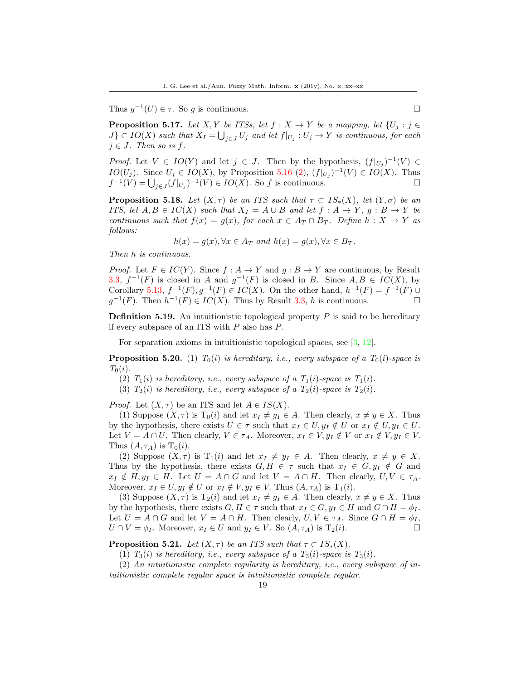Thus  $g^{-1}(U) \in \tau$ . So g is continuous.

**Proposition 5.17.** Let X, Y be ITSs, let  $f : X \to Y$  be a mapping, let  $\{U_i : j \in Y\}$  $J\} \subset IO(X)$  such that  $X_I = \bigcup_{j \in J} U_j$  and let  $f|_{U_j} : U_j \to Y$  is continuous, for each  $j \in J$ . Then so is f.

*Proof.* Let  $V \in IO(Y)$  and let  $j \in J$ . Then by the hypothesis,  $(f|_{U_j})^{-1}(V) \in$ *IO*( $U_j$ ). Since  $U_j \in IO(X)$ , by Proposition 5.16 (2),  $(f|_{U_j})^{-1}(V) \in IO(X)$ . Thus  $f^{-1}(V) = \bigcup_{j \in J} (f|_{U_j})^{-1}(V) \in IO(X)$ . So f is continuous.

**Proposition 5.18.** Let  $(X, \tau)$  be an ITS such that  $\tau \subset IS_*(X)$ , let  $(Y, \sigma)$  be an ITS, let  $A, B \in IC(X)$  such that  $X_I = A \cup B$  and let  $f : A \rightarrow Y$ ,  $g : B \rightarrow Y$  be continuous such that  $f(x) = g(x)$ , for each  $x \in A_T \cap B_T$ . Define  $h: X \to Y$  as follows:

$$
h(x) = g(x), \forall x \in A_T \text{ and } h(x) = g(x), \forall x \in B_T.
$$

Then h is continuous.

*Proof.* Let  $F \in IC(Y)$ . Since  $f : A \to Y$  and  $g : B \to Y$  are continuous, by Result 3.3,  $f^{-1}(F)$  is closed in A and  $g^{-1}(F)$  is closed in B. Since  $A, B \in IC(X)$ , by Corollary 5.13,  $f^{-1}(F), g^{-1}(F) \in IC(X)$ . On the other hand,  $h^{-1}(F) = f^{-1}(F) \cup$  $g^{-1}(F)$ . Then  $h^{-1}(F) \in IC(X)$ . Thus by Result 3.3, h is continuous.

**Definition 5.19.** An intuitionistic topological property  $P$  is said to be hereditary if every subspace of an ITS with  $P$  also has  $P$ .

For separation axioms in intuitionistic topological spaces, see [\[3,](#page-19-6) [12\]](#page-20-5).

**Proposition 5.20.** (1)  $T_0(i)$  is hereditary, i.e., every subspace of a  $T_0(i)$ -space is  $T_0(i)$ .

- (2)  $T_1(i)$  is hereditary, i.e., every subspace of a  $T_1(i)$ -space is  $T_1(i)$ .
- (3)  $T_2(i)$  is hereditary, i.e., every subspace of a  $T_2(i)$ -space is  $T_2(i)$ .

*Proof.* Let  $(X, \tau)$  be an ITS and let  $A \in IS(X)$ .

(1) Suppose  $(X, \tau)$  is  $T_0(i)$  and let  $x_I \neq y_I \in A$ . Then clearly,  $x \neq y \in X$ . Thus by the hypothesis, there exists  $U \in \tau$  such that  $x_I \in U, y_I \notin U$  or  $x_I \notin U, y_I \in U$ . Let  $V = A \cap U$ . Then clearly,  $V \in \tau_A$ . Moreover,  $x_I \in V, y_I \notin V$  or  $x_I \notin V, y_I \in V$ . Thus  $(A, \tau_A)$  is  $T_0(i)$ .

(2) Suppose  $(X, \tau)$  is  $T_1(i)$  and let  $x_I \neq y_I \in A$ . Then clearly,  $x \neq y \in X$ . Thus by the hypothesis, there exists  $G, H \in \tau$  such that  $x_I \in G, y_I \notin G$  and  $x_I \notin H, y_I \in H$ . Let  $U = A \cap G$  and let  $V = A \cap H$ . Then clearly,  $U, V \in \tau_A$ . Moreover,  $x_I \in U$ ,  $y_I \notin U$  or  $x_I \notin V$ ,  $y_I \in V$ . Thus  $(A, \tau_A)$  is  $T_1(i)$ .

(3) Suppose  $(X, \tau)$  is  $T_2(i)$  and let  $x_I \neq y_I \in A$ . Then clearly,  $x \neq y \in X$ . Thus by the hypothesis, there exists  $G, H \in \tau$  such that  $x_I \in G, y_I \in H$  and  $G \cap H = \phi_I$ . Let  $U = A \cap G$  and let  $V = A \cap H$ . Then clearly,  $U, V \in \tau_A$ . Since  $G \cap H = \phi_I$ ,  $U \cap V = \phi_I$ . Moreover,  $x_I \in U$  and  $y_I \in V$ . So  $(A, \tau_A)$  is  $T_2(i)$ .

**Proposition 5.21.** Let  $(X, \tau)$  be an ITS such that  $\tau \subset IS_*(X)$ .

(1)  $T_3(i)$  is hereditary, i.e., every subspace of a  $T_3(i)$ -space is  $T_3(i)$ .

(2) An intuitionistic complete regularity is hereditary, i.e., every subspace of intuitionistic complete regular space is intuitionistic complete regular.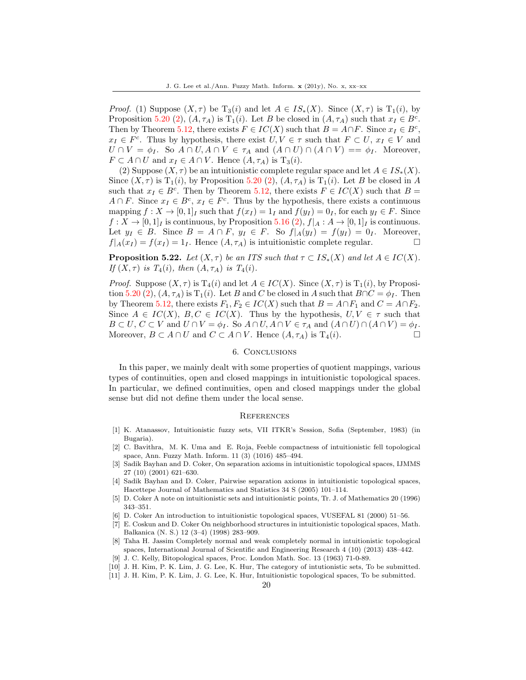*Proof.* (1) Suppose  $(X, \tau)$  be  $T_3(i)$  and let  $A \in IS_*(X)$ . Since  $(X, \tau)$  is  $T_1(i)$ , by Proposition 5.20 (2),  $(A, \tau_A)$  is  $T_1(i)$ . Let B be closed in  $(A, \tau_A)$  such that  $x_I \in B^c$ . Then by Theorem 5.12, there exists  $F \in IC(X)$  such that  $B = A \cap F$ . Since  $x_I \in B^c$ ,  $x_I \in F^c$ . Thus by hypothesis, there exist  $U, V \in \tau$  such that  $F \subset U$ ,  $x_I \in V$  and  $U \cap V = \phi_I$ . So  $A \cap U, A \cap V \in \tau_A$  and  $(A \cap U) \cap (A \cap V) = \phi_I$ . Moreover,  $F \subset A \cap U$  and  $x_I \in A \cap V$ . Hence  $(A, \tau_A)$  is  $T_3(i)$ .

(2) Suppose  $(X, \tau)$  be an intuitionistic complete regular space and let  $A \in IS_*(X)$ . Since  $(X, \tau)$  is  $T_1(i)$ , by Proposition 5.20 (2),  $(A, \tau_A)$  is  $T_1(i)$ . Let B be closed in A such that  $x_I \in B^c$ . Then by Theorem 5.12, there exists  $F \in IC(X)$  such that  $B =$  $A \cap F$ . Since  $x_I \in B^c$ ,  $x_I \in F^c$ . Thus by the hypothesis, there exists a continuous mapping  $f: X \to [0,1]_I$  such that  $f(x_I) = 1_I$  and  $f(y_I) = 0_I$ , for each  $y_I \in F$ . Since  $f: X \to [0,1]_I$  is continuous, by Proposition 5.16 (2),  $f|_A: A \to [0,1]_I$  is continuous. Let  $y_I \in B$ . Since  $B = A \cap F$ ,  $y_I \in F$ . So  $f|_A(y_I) = f(y_I) = 0_I$ . Moreover,  $f|_A(x_I) = f(x_I) = 1_I$ . Hence  $(A, \tau_A)$  is intuitionistic complete regular.

**Proposition 5.22.** Let  $(X, \tau)$  be an ITS such that  $\tau \subset IS_*(X)$  and let  $A \in IC(X)$ . If  $(X, \tau)$  is  $T_4(i)$ , then  $(A, \tau_A)$  is  $T_4(i)$ .

*Proof.* Suppose  $(X, \tau)$  is  $T_4(i)$  and let  $A \in IC(X)$ . Since  $(X, \tau)$  is  $T_1(i)$ , by Proposition 5.20 (2),  $(A, \tau_A)$  is  $T_1(i)$ . Let B and C be closed in A such that  $B \cap C = \phi_I$ . Then by Theorem 5.12, there exists  $F_1, F_2 \in IC(X)$  such that  $B = A \cap F_1$  and  $C = A \cap F_2$ . Since  $A \in IC(X)$ ,  $B, C \in IC(X)$ . Thus by the hypothesis,  $U, V \in \tau$  such that  $B \subset U, C \subset V$  and  $U \cap V = \phi_I$ . So  $A \cap U, A \cap V \in \tau_A$  and  $(A \cap U) \cap (A \cap V) = \phi_I$ . Moreover,  $B \subset A \cap U$  and  $C \subset A \cap V$ . Hence  $(A, \tau_A)$  is  $T_4(i)$ .

## 6. Conclusions

In this paper, we mainly dealt with some properties of quotient mappings, various types of continuities, open and closed mappings in intuitionistic topological spaces. In particular, we defined continuities, open and closed mappings under the global sense but did not define them under the local sense.

### **REFERENCES**

- <span id="page-19-1"></span>[1] K. Atanassov, Intuitionistic fuzzy sets, VII ITKR's Session, Sofia (September, 1983) (in Bugaria).
- <span id="page-19-2"></span>[2] C. Bavithra, M. K. Uma and E. Roja, Feeble compactness of intuitionistic fell topological space, Ann. Fuzzy Math. Inform. 11 (3) (1016) 485–494.
- <span id="page-19-6"></span>[3] Sadik Bayhan and D. Coker, On separation axioms in intuitionistic topological spaces, IJMMS 27 (10) (2001) 621–630.
- <span id="page-19-7"></span>[4] Sadik Bayhan and D. Coker, Pairwise separation axioms in intuitionistic topological spaces, Hacettepe Journal of Mathematics and Statistics 34 S (2005) 101–114.
- <span id="page-19-0"></span>[5] D. Coker A note on intuitionistic sets and intuitionistic points, Tr. J. of Mathematics 20 (1996) 343–351.
- <span id="page-19-3"></span>[6] D. Coker An introduction to intuitionistic topological spaces, VUSEFAL 81 (2000) 51–56.
- <span id="page-19-4"></span>[7] E. Coskun and D. Coker On neighborhood structures in intuitionistic topological spaces, Math. Balkanica (N. S.) 12 (3–4) (1998) 283–909.
- <span id="page-19-5"></span>[8] Taha H. Jassim Completely normal and weak completely normal in intuitionistic topological spaces, International Journal of Scientific and Engineering Research 4 (10) (2013) 438–442.
- <span id="page-19-10"></span>[9] J. C. Kelly, Bitopological spaces, Proc. London Math. Soc. 13 (1963) 71-0-89.
- <span id="page-19-8"></span>[10] J. H. Kim, P. K. Lim, J. G. Lee, K. Hur, The category of intutionistic sets, To be submitted.
- <span id="page-19-9"></span>[11] J. H. Kim, P. K. Lim, J. G. Lee, K. Hur, Intuitionistic topological spaces, To be submitted.